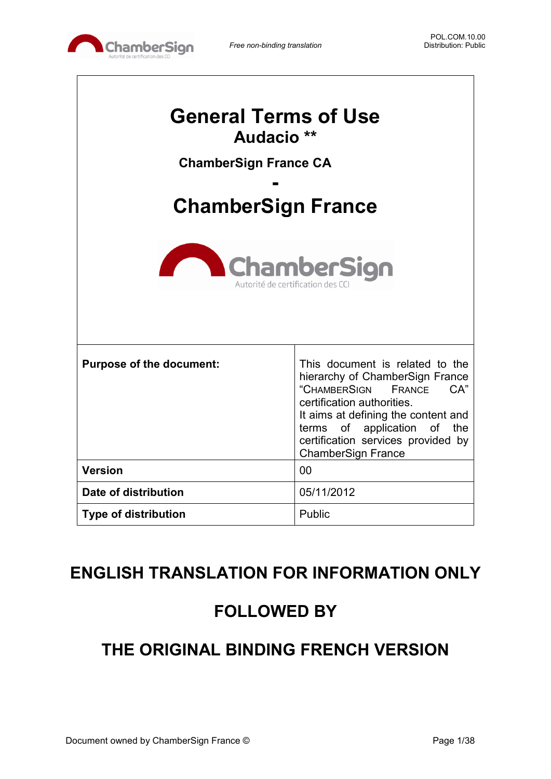

| <b>General Terms of Use</b><br>Audacio <sup>**</sup><br><b>ChamberSign France CA</b><br><b>ChamberSign France</b><br><b>ChamberSign</b><br>Autorité de certification des C |                                                                                                                                                                                                                                                                            |  |
|----------------------------------------------------------------------------------------------------------------------------------------------------------------------------|----------------------------------------------------------------------------------------------------------------------------------------------------------------------------------------------------------------------------------------------------------------------------|--|
| <b>Purpose of the document:</b>                                                                                                                                            | This document is related to the<br>hierarchy of ChamberSign France<br>"CHAMBERSIGN<br>CA"<br>FRANCE<br>certification authorities.<br>It aims at defining the content and<br>terms of application of the<br>certification services provided by<br><b>ChamberSign France</b> |  |
| <b>Version</b>                                                                                                                                                             | 00                                                                                                                                                                                                                                                                         |  |
| Date of distribution                                                                                                                                                       | 05/11/2012                                                                                                                                                                                                                                                                 |  |
| <b>Type of distribution</b>                                                                                                                                                | Public                                                                                                                                                                                                                                                                     |  |

# **ENGLISH TRANSLATION FOR INFORMATION ONLY**

# **FOLLOWED BY**

# **THE ORIGINAL BINDING FRENCH VERSION**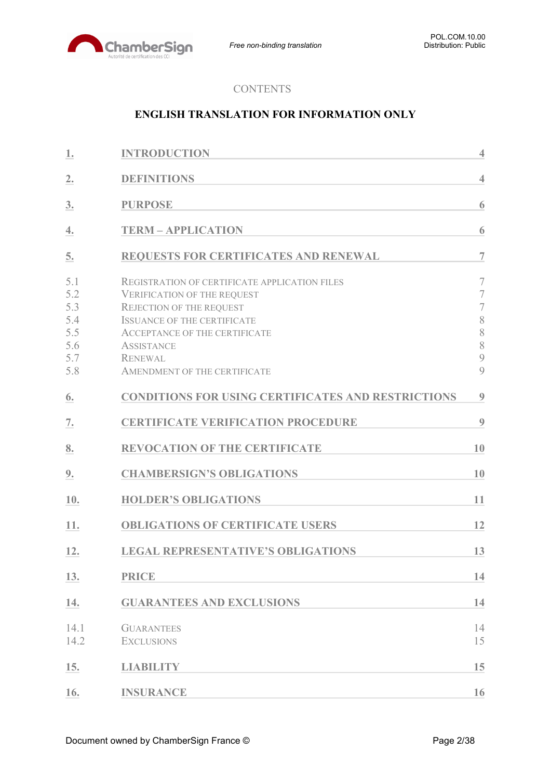

# **CONTENTS**

## **ENGLISH TRANSLATION FOR INFORMATION ONLY**

| 1.                                                   | <b>INTRODUCTION</b>                                                                                                                                                                                                                                                  | $\overline{4}$                                                                                   |
|------------------------------------------------------|----------------------------------------------------------------------------------------------------------------------------------------------------------------------------------------------------------------------------------------------------------------------|--------------------------------------------------------------------------------------------------|
| 2.                                                   | <b>DEFINITIONS</b>                                                                                                                                                                                                                                                   | $\overline{4}$                                                                                   |
| 3.                                                   | <b>PURPOSE</b>                                                                                                                                                                                                                                                       | 6                                                                                                |
| 4.                                                   | <b>TERM - APPLICATION</b>                                                                                                                                                                                                                                            | 6                                                                                                |
| 5.                                                   | REQUESTS FOR CERTIFICATES AND RENEWAL                                                                                                                                                                                                                                | $\overline{7}$                                                                                   |
| 5.1<br>5.2<br>5.3<br>5.4<br>5.5<br>5.6<br>5.7<br>5.8 | REGISTRATION OF CERTIFICATE APPLICATION FILES<br><b>VERIFICATION OF THE REQUEST</b><br>REJECTION OF THE REQUEST<br><b>ISSUANCE OF THE CERTIFICATE</b><br><b>ACCEPTANCE OF THE CERTIFICATE</b><br><b>ASSISTANCE</b><br><b>RENEWAL</b><br>AMENDMENT OF THE CERTIFICATE | $\overline{7}$<br>$\overline{7}$<br>$\overline{7}$<br>8<br>$\,$ $\,$<br>8<br>$\overline{9}$<br>9 |
| 6.                                                   | <b>CONDITIONS FOR USING CERTIFICATES AND RESTRICTIONS</b>                                                                                                                                                                                                            | 9                                                                                                |
| 7.                                                   | <b>CERTIFICATE VERIFICATION PROCEDURE</b>                                                                                                                                                                                                                            | 9                                                                                                |
| 8.                                                   | <b>REVOCATION OF THE CERTIFICATE</b>                                                                                                                                                                                                                                 | 10                                                                                               |
| 9.                                                   | <b>CHAMBERSIGN'S OBLIGATIONS</b>                                                                                                                                                                                                                                     | 10                                                                                               |
| 10.                                                  | <b>HOLDER'S OBLIGATIONS</b>                                                                                                                                                                                                                                          | 11                                                                                               |
| 11.                                                  | <b>OBLIGATIONS OF CERTIFICATE USERS</b>                                                                                                                                                                                                                              | 12                                                                                               |
| 12.                                                  | <b>LEGAL REPRESENTATIVE'S OBLIGATIONS</b>                                                                                                                                                                                                                            | 13                                                                                               |
| 13.                                                  | <b>PRICE</b>                                                                                                                                                                                                                                                         | 14                                                                                               |
| 14.                                                  | <b>GUARANTEES AND EXCLUSIONS</b>                                                                                                                                                                                                                                     | 14                                                                                               |
| 14.1<br>14.2                                         | <b>GUARANTEES</b><br><b>EXCLUSIONS</b>                                                                                                                                                                                                                               | 14<br>15                                                                                         |
| 15.                                                  | <b>LIABILITY</b>                                                                                                                                                                                                                                                     | 15                                                                                               |
| 16.                                                  | <b>INSURANCE</b>                                                                                                                                                                                                                                                     | 16                                                                                               |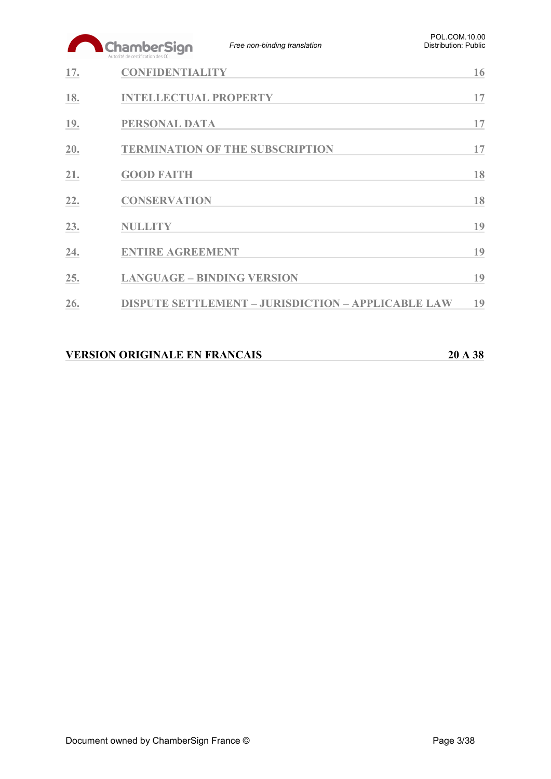|     | ChamberSign<br>Autorité de certification des CCI | Free non-binding translation                              | POL.COM.10.00<br><b>Distribution: Public</b> |
|-----|--------------------------------------------------|-----------------------------------------------------------|----------------------------------------------|
| 17. | <b>CONFIDENTIALITY</b>                           |                                                           | 16                                           |
| 18. | <b>INTELLECTUAL PROPERTY</b>                     |                                                           | 17                                           |
| 19. | <b>PERSONAL DATA</b>                             |                                                           | 17                                           |
| 20. | <b>TERMINATION OF THE SUBSCRIPTION</b>           |                                                           | 17                                           |
| 21. | <b>GOOD FAITH</b>                                |                                                           | 18                                           |
| 22. | <b>CONSERVATION</b>                              |                                                           | 18                                           |
| 23. | <b>NULLITY</b>                                   |                                                           | 19                                           |
| 24. | <b>ENTIRE AGREEMENT</b>                          |                                                           | 19                                           |
| 25. | <b>LANGUAGE - BINDING VERSION</b>                |                                                           | 19                                           |
| 26. |                                                  | <b>DISPUTE SETTLEMENT - JURISDICTION - APPLICABLE LAW</b> | 19                                           |
|     |                                                  |                                                           |                                              |

| <b>VERSION ORIGINALE EN FRANCAIS</b> | 20 A 38 |
|--------------------------------------|---------|
|                                      |         |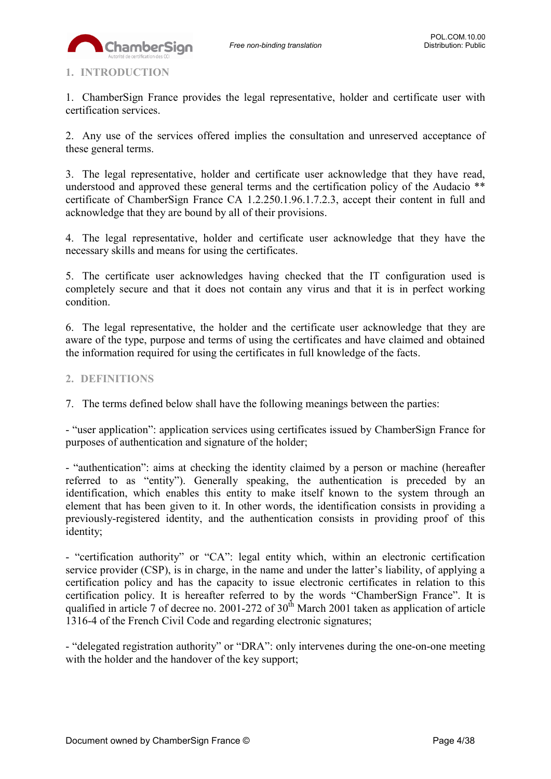

## <span id="page-3-0"></span>**1. INTRODUCTION**

1. ChamberSign France provides the legal representative, holder and certificate user with certification services.

2. Any use of the services offered implies the consultation and unreserved acceptance of these general terms.

3. The legal representative, holder and certificate user acknowledge that they have read, understood and approved these general terms and the certification policy of the Audacio \*\* certificate of ChamberSign France CA 1.2.250.1.96.1.7.2.3, accept their content in full and acknowledge that they are bound by all of their provisions.

4. The legal representative, holder and certificate user acknowledge that they have the necessary skills and means for using the certificates.

5. The certificate user acknowledges having checked that the IT configuration used is completely secure and that it does not contain any virus and that it is in perfect working condition.

6. The legal representative, the holder and the certificate user acknowledge that they are aware of the type, purpose and terms of using the certificates and have claimed and obtained the information required for using the certificates in full knowledge of the facts.

### <span id="page-3-1"></span>**2. DEFINITIONS**

7. The terms defined below shall have the following meanings between the parties:

- "user application": application services using certificates issued by ChamberSign France for purposes of authentication and signature of the holder;

- "authentication": aims at checking the identity claimed by a person or machine (hereafter referred to as "entity"). Generally speaking, the authentication is preceded by an identification, which enables this entity to make itself known to the system through an element that has been given to it. In other words, the identification consists in providing a previously-registered identity, and the authentication consists in providing proof of this identity;

- "certification authority" or "CA": legal entity which, within an electronic certification service provider (CSP), is in charge, in the name and under the latter's liability, of applying a certification policy and has the capacity to issue electronic certificates in relation to this certification policy. It is hereafter referred to by the words "ChamberSign France". It is qualified in article 7 of decree no. 2001-272 of  $30<sup>th</sup>$  March 2001 taken as application of article 1316-4 of the French Civil Code and regarding electronic signatures;

- "delegated registration authority" or "DRA": only intervenes during the one-on-one meeting with the holder and the handover of the key support;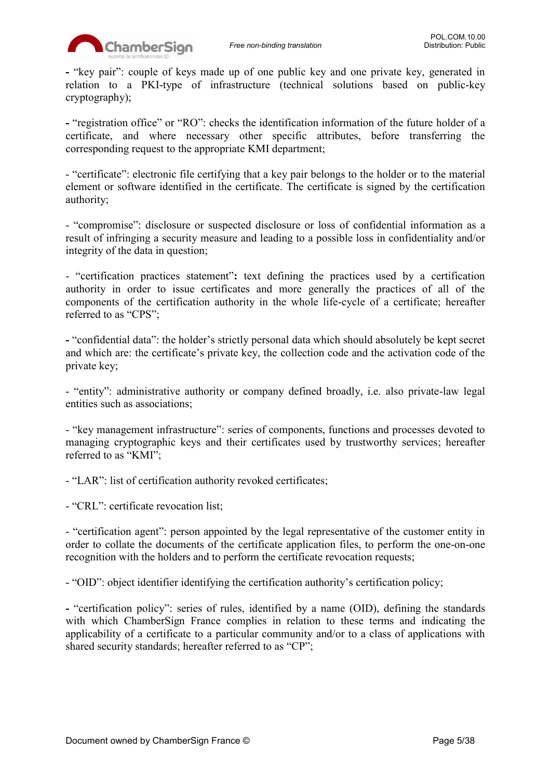

**-** "key pair": couple of keys made up of one public key and one private key, generated in relation to a PKI-type of infrastructure (technical solutions based on public-key cryptography);

**-** "registration office" or "RO": checks the identification information of the future holder of a certificate, and where necessary other specific attributes, before transferring the corresponding request to the appropriate KMI department;

- "certificate": electronic file certifying that a key pair belongs to the holder or to the material element or software identified in the certificate. The certificate is signed by the certification authority;

- "compromise": disclosure or suspected disclosure or loss of confidential information as a result of infringing a security measure and leading to a possible loss in confidentiality and/or integrity of the data in question;

- "certification practices statement"**:** text defining the practices used by a certification authority in order to issue certificates and more generally the practices of all of the components of the certification authority in the whole life-cycle of a certificate; hereafter referred to as "CPS";

**-** "confidential data": the holder's strictly personal data which should absolutely be kept secret and which are: the certificate's private key, the collection code and the activation code of the private key;

- "entity": administrative authority or company defined broadly, i.e. also private-law legal entities such as associations;

- "key management infrastructure": series of components, functions and processes devoted to managing cryptographic keys and their certificates used by trustworthy services; hereafter referred to as "KMI";

- "LAR": list of certification authority revoked certificates;

- "CRL": certificate revocation list;

- "certification agent": person appointed by the legal representative of the customer entity in order to collate the documents of the certificate application files, to perform the one-on-one recognition with the holders and to perform the certificate revocation requests;

- "OID": object identifier identifying the certification authority's certification policy;

**-** "certification policy": series of rules, identified by a name (OID), defining the standards with which ChamberSign France complies in relation to these terms and indicating the applicability of a certificate to a particular community and/or to a class of applications with shared security standards; hereafter referred to as "CP";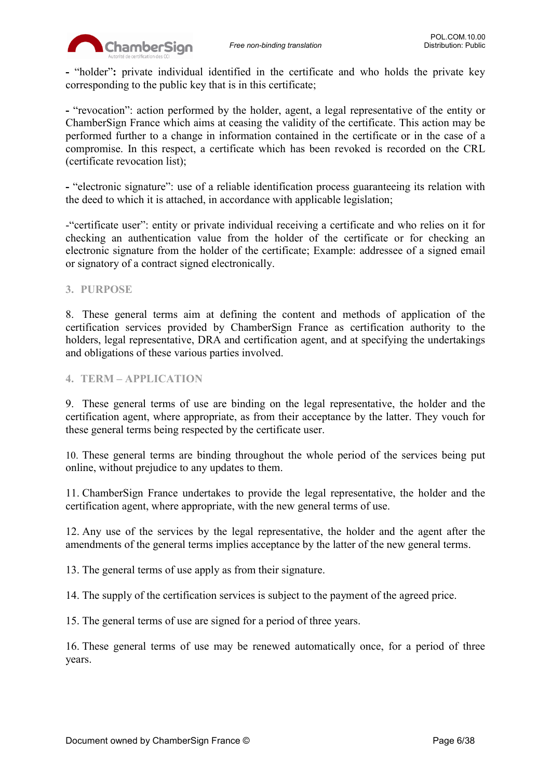

**-** "holder"**:** private individual identified in the certificate and who holds the private key corresponding to the public key that is in this certificate;

**-** "revocation": action performed by the holder, agent, a legal representative of the entity or ChamberSign France which aims at ceasing the validity of the certificate. This action may be performed further to a change in information contained in the certificate or in the case of a compromise. In this respect, a certificate which has been revoked is recorded on the CRL (certificate revocation list);

**-** "electronic signature": use of a reliable identification process guaranteeing its relation with the deed to which it is attached, in accordance with applicable legislation;

-"certificate user": entity or private individual receiving a certificate and who relies on it for checking an authentication value from the holder of the certificate or for checking an electronic signature from the holder of the certificate; Example: addressee of a signed email or signatory of a contract signed electronically.

### <span id="page-5-0"></span>**3. PURPOSE**

8. These general terms aim at defining the content and methods of application of the certification services provided by ChamberSign France as certification authority to the holders, legal representative, DRA and certification agent, and at specifying the undertakings and obligations of these various parties involved.

### <span id="page-5-1"></span>**4. TERM – APPLICATION**

9. These general terms of use are binding on the legal representative, the holder and the certification agent, where appropriate, as from their acceptance by the latter. They vouch for these general terms being respected by the certificate user.

10. These general terms are binding throughout the whole period of the services being put online, without prejudice to any updates to them.

11. ChamberSign France undertakes to provide the legal representative, the holder and the certification agent, where appropriate, with the new general terms of use.

12. Any use of the services by the legal representative, the holder and the agent after the amendments of the general terms implies acceptance by the latter of the new general terms.

13. The general terms of use apply as from their signature.

14. The supply of the certification services is subject to the payment of the agreed price.

15. The general terms of use are signed for a period of three years.

16. These general terms of use may be renewed automatically once, for a period of three years.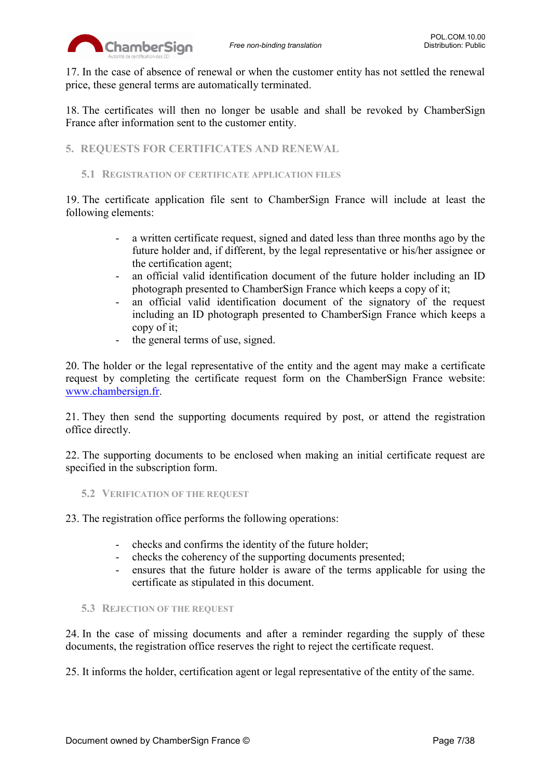

17. In the case of absence of renewal or when the customer entity has not settled the renewal price, these general terms are automatically terminated.

18. The certificates will then no longer be usable and shall be revoked by ChamberSign France after information sent to the customer entity.

<span id="page-6-0"></span>**5. REQUESTS FOR CERTIFICATES AND RENEWAL**

### <span id="page-6-1"></span>**5.1 REGISTRATION OF CERTIFICATE APPLICATION FILES**

19. The certificate application file sent to ChamberSign France will include at least the following elements:

- a written certificate request, signed and dated less than three months ago by the future holder and, if different, by the legal representative or his/her assignee or the certification agent;
- an official valid identification document of the future holder including an ID photograph presented to ChamberSign France which keeps a copy of it;
- an official valid identification document of the signatory of the request including an ID photograph presented to ChamberSign France which keeps a copy of it;
- the general terms of use, signed.

20. The holder or the legal representative of the entity and the agent may make a certificate request by completing the certificate request form on the ChamberSign France website: [www.chambersign.fr.](http://www.chambersign.fr/)

21. They then send the supporting documents required by post, or attend the registration office directly.

22. The supporting documents to be enclosed when making an initial certificate request are specified in the subscription form.

<span id="page-6-2"></span>**5.2 VERIFICATION OF THE REQUEST**

23. The registration office performs the following operations:

- checks and confirms the identity of the future holder;
- checks the coherency of the supporting documents presented;
- ensures that the future holder is aware of the terms applicable for using the certificate as stipulated in this document.

### <span id="page-6-3"></span>**5.3 REJECTION OF THE REQUEST**

24. In the case of missing documents and after a reminder regarding the supply of these documents, the registration office reserves the right to reject the certificate request.

25. It informs the holder, certification agent or legal representative of the entity of the same.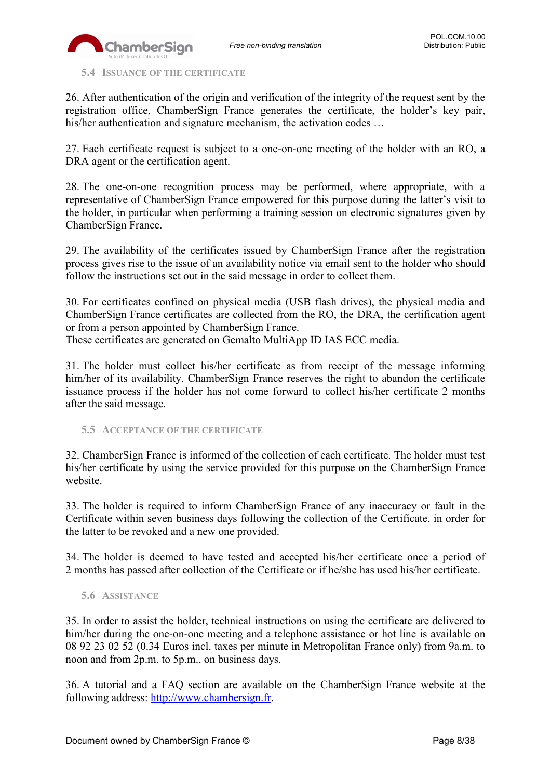

<span id="page-7-0"></span>**5.4 ISSUANCE OF THE CERTIFICATE**

26. After authentication of the origin and verification of the integrity of the request sent by the registration office, ChamberSign France generates the certificate, the holder's key pair, his/her authentication and signature mechanism, the activation codes ...

27. Each certificate request is subject to a one-on-one meeting of the holder with an RO, a DRA agent or the certification agent.

28. The one-on-one recognition process may be performed, where appropriate, with a representative of ChamberSign France empowered for this purpose during the latter's visit to the holder, in particular when performing a training session on electronic signatures given by ChamberSign France.

29. The availability of the certificates issued by ChamberSign France after the registration process gives rise to the issue of an availability notice via email sent to the holder who should follow the instructions set out in the said message in order to collect them.

30. For certificates confined on physical media (USB flash drives), the physical media and ChamberSign France certificates are collected from the RO, the DRA, the certification agent or from a person appointed by ChamberSign France.

These certificates are generated on Gemalto MultiApp ID IAS ECC media.

31. The holder must collect his/her certificate as from receipt of the message informing him/her of its availability. ChamberSign France reserves the right to abandon the certificate issuance process if the holder has not come forward to collect his/her certificate 2 months after the said message.

<span id="page-7-1"></span>**5.5 ACCEPTANCE OF THE CERTIFICATE**

32. ChamberSign France is informed of the collection of each certificate. The holder must test his/her certificate by using the service provided for this purpose on the ChamberSign France website.

33. The holder is required to inform ChamberSign France of any inaccuracy or fault in the Certificate within seven business days following the collection of the Certificate, in order for the latter to be revoked and a new one provided.

34. The holder is deemed to have tested and accepted his/her certificate once a period of 2 months has passed after collection of the Certificate or if he/she has used his/her certificate.

### <span id="page-7-2"></span>**5.6 ASSISTANCE**

35. In order to assist the holder, technical instructions on using the certificate are delivered to him/her during the one-on-one meeting and a telephone assistance or hot line is available on 08 92 23 02 52 (0.34 Euros incl. taxes per minute in Metropolitan France only) from 9a.m. to noon and from 2p.m. to 5p.m., on business days.

36. A tutorial and a FAQ section are available on the ChamberSign France website at the following address: [http://www.chambersign.fr.](http://www.chambersign.fr/)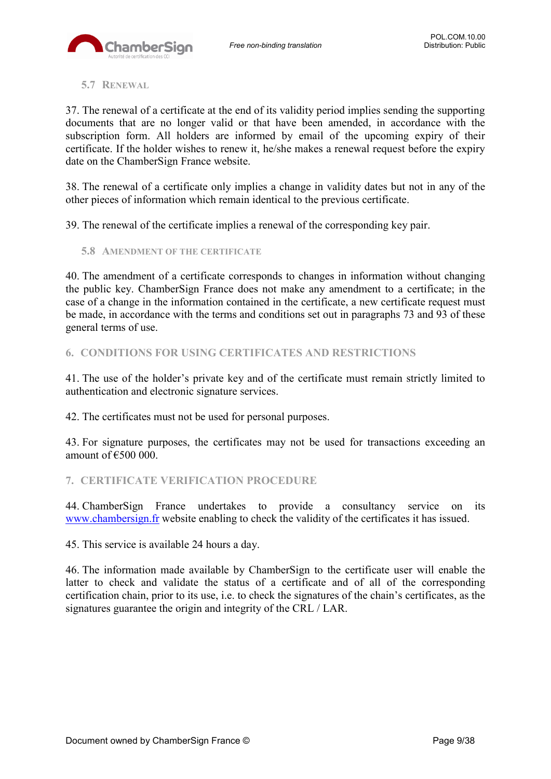### <span id="page-8-0"></span>**5.7 RENEWAL**

37. The renewal of a certificate at the end of its validity period implies sending the supporting documents that are no longer valid or that have been amended, in accordance with the subscription form. All holders are informed by email of the upcoming expiry of their certificate. If the holder wishes to renew it, he/she makes a renewal request before the expiry date on the ChamberSign France website.

38. The renewal of a certificate only implies a change in validity dates but not in any of the other pieces of information which remain identical to the previous certificate.

39. The renewal of the certificate implies a renewal of the corresponding key pair.

<span id="page-8-1"></span>**5.8 AMENDMENT OF THE CERTIFICATE**

40. The amendment of a certificate corresponds to changes in information without changing the public key. ChamberSign France does not make any amendment to a certificate; in the case of a change in the information contained in the certificate, a new certificate request must be made, in accordance with the terms and conditions set out in paragraphs 73 and 93 of these general terms of use.

<span id="page-8-2"></span>**6. CONDITIONS FOR USING CERTIFICATES AND RESTRICTIONS**

41. The use of the holder's private key and of the certificate must remain strictly limited to authentication and electronic signature services.

42. The certificates must not be used for personal purposes.

43. For signature purposes, the certificates may not be used for transactions exceeding an amount of  $€500000$ 

<span id="page-8-3"></span>**7. CERTIFICATE VERIFICATION PROCEDURE**

44. ChamberSign France undertakes to provide a consultancy service on its [www.chambersign.fr](http://www.chambersign.fr/) website enabling to check the validity of the certificates it has issued.

45. This service is available 24 hours a day.

46. The information made available by ChamberSign to the certificate user will enable the latter to check and validate the status of a certificate and of all of the corresponding certification chain, prior to its use, i.e. to check the signatures of the chain's certificates, as the signatures guarantee the origin and integrity of the CRL / LAR.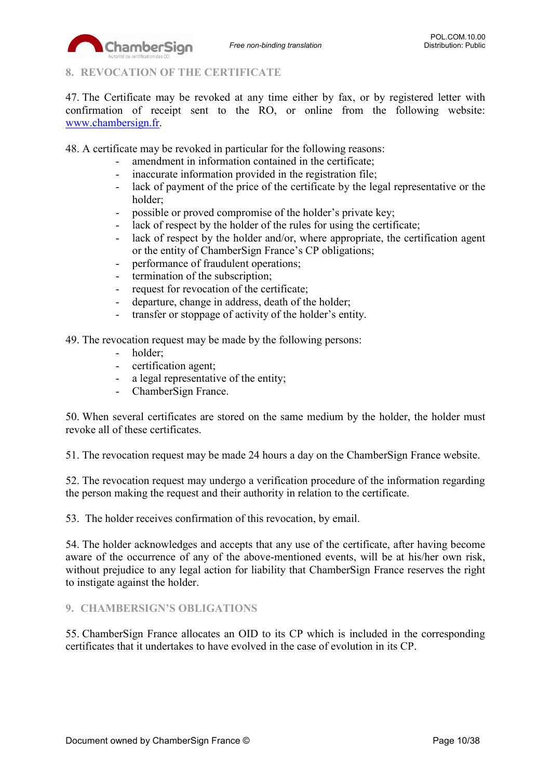# <span id="page-9-0"></span>**8. REVOCATION OF THE CERTIFICATE**

ChamberSion

47. The Certificate may be revoked at any time either by fax, or by registered letter with confirmation of receipt sent to the RO, or online from the following website: [www.chambersign.fr.](http://www.chambersign.fr/)

48. A certificate may be revoked in particular for the following reasons:

- amendment in information contained in the certificate:
- inaccurate information provided in the registration file;
- lack of payment of the price of the certificate by the legal representative or the holder;
- possible or proved compromise of the holder's private key;
- lack of respect by the holder of the rules for using the certificate;
- lack of respect by the holder and/or, where appropriate, the certification agent or the entity of ChamberSign France's CP obligations;
- performance of fraudulent operations;
- termination of the subscription;
- request for revocation of the certificate;
- departure, change in address, death of the holder;
- transfer or stoppage of activity of the holder's entity.

49. The revocation request may be made by the following persons:

- holder;
- certification agent;
- a legal representative of the entity;
- ChamberSign France.

50. When several certificates are stored on the same medium by the holder, the holder must revoke all of these certificates.

51. The revocation request may be made 24 hours a day on the ChamberSign France website.

52. The revocation request may undergo a verification procedure of the information regarding the person making the request and their authority in relation to the certificate.

53. The holder receives confirmation of this revocation, by email.

54. The holder acknowledges and accepts that any use of the certificate, after having become aware of the occurrence of any of the above-mentioned events, will be at his/her own risk, without prejudice to any legal action for liability that ChamberSign France reserves the right to instigate against the holder.

### <span id="page-9-1"></span>**9. CHAMBERSIGN'S OBLIGATIONS**

55. ChamberSign France allocates an OID to its CP which is included in the corresponding certificates that it undertakes to have evolved in the case of evolution in its CP.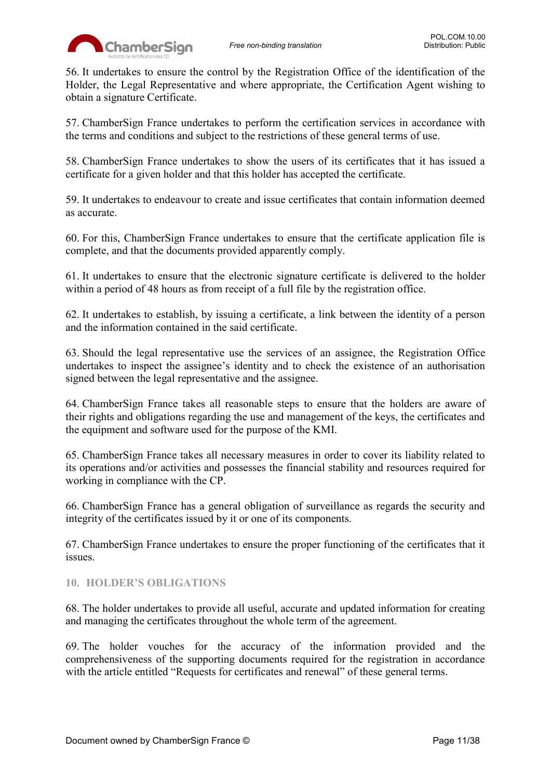

56. It undertakes to ensure the control by the Registration Office of the identification of the Holder, the Legal Representative and where appropriate, the Certification Agent wishing to obtain a signature Certificate.

57. ChamberSign France undertakes to perform the certification services in accordance with the terms and conditions and subject to the restrictions of these general terms of use.

58. ChamberSign France undertakes to show the users of its certificates that it has issued a certificate for a given holder and that this holder has accepted the certificate.

59. It undertakes to endeavour to create and issue certificates that contain information deemed as accurate.

60. For this, ChamberSign France undertakes to ensure that the certificate application file is complete, and that the documents provided apparently comply.

61. It undertakes to ensure that the electronic signature certificate is delivered to the holder within a period of 48 hours as from receipt of a full file by the registration office.

62. It undertakes to establish, by issuing a certificate, a link between the identity of a person and the information contained in the said certificate.

63. Should the legal representative use the services of an assignee, the Registration Office undertakes to inspect the assignee's identity and to check the existence of an authorisation signed between the legal representative and the assignee.

64. ChamberSign France takes all reasonable steps to ensure that the holders are aware of their rights and obligations regarding the use and management of the keys, the certificates and the equipment and software used for the purpose of the KMI.

65. ChamberSign France takes all necessary measures in order to cover its liability related to its operations and/or activities and possesses the financial stability and resources required for working in compliance with the CP.

66. ChamberSign France has a general obligation of surveillance as regards the security and integrity of the certificates issued by it or one of its components.

67. ChamberSign France undertakes to ensure the proper functioning of the certificates that it issues.

### <span id="page-10-0"></span>**10. HOLDER'S OBLIGATIONS**

68. The holder undertakes to provide all useful, accurate and updated information for creating and managing the certificates throughout the whole term of the agreement.

69. The holder vouches for the accuracy of the information provided and the comprehensiveness of the supporting documents required for the registration in accordance with the article entitled "Requests for certificates and renewal" of these general terms.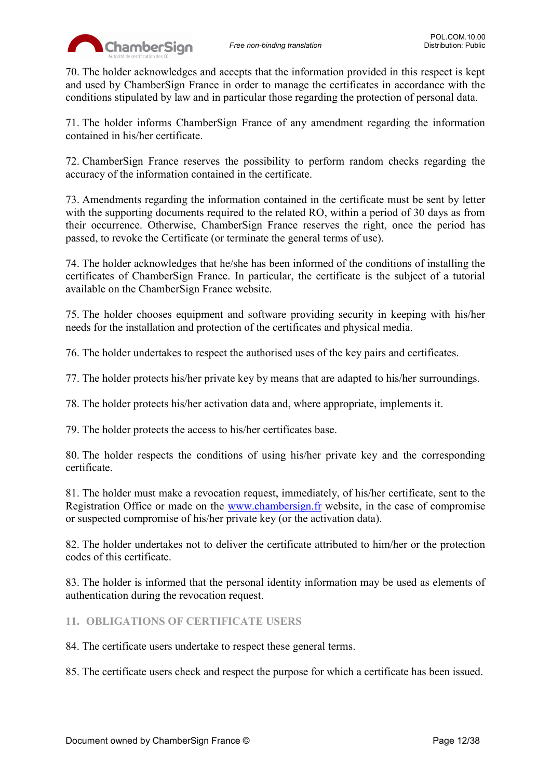

70. The holder acknowledges and accepts that the information provided in this respect is kept and used by ChamberSign France in order to manage the certificates in accordance with the conditions stipulated by law and in particular those regarding the protection of personal data.

71. The holder informs ChamberSign France of any amendment regarding the information contained in his/her certificate.

72. ChamberSign France reserves the possibility to perform random checks regarding the accuracy of the information contained in the certificate.

73. Amendments regarding the information contained in the certificate must be sent by letter with the supporting documents required to the related RO, within a period of 30 days as from their occurrence. Otherwise, ChamberSign France reserves the right, once the period has passed, to revoke the Certificate (or terminate the general terms of use).

74. The holder acknowledges that he/she has been informed of the conditions of installing the certificates of ChamberSign France. In particular, the certificate is the subject of a tutorial available on the ChamberSign France website.

75. The holder chooses equipment and software providing security in keeping with his/her needs for the installation and protection of the certificates and physical media.

76. The holder undertakes to respect the authorised uses of the key pairs and certificates.

77. The holder protects his/her private key by means that are adapted to his/her surroundings.

78. The holder protects his/her activation data and, where appropriate, implements it.

79. The holder protects the access to his/her certificates base.

80. The holder respects the conditions of using his/her private key and the corresponding certificate.

81. The holder must make a revocation request, immediately, of his/her certificate, sent to the Registration Office or made on the [www.chambersign.fr](http://www.chambersign.fr/) website, in the case of compromise or suspected compromise of his/her private key (or the activation data).

82. The holder undertakes not to deliver the certificate attributed to him/her or the protection codes of this certificate.

83. The holder is informed that the personal identity information may be used as elements of authentication during the revocation request.

<span id="page-11-0"></span>**11. OBLIGATIONS OF CERTIFICATE USERS**

84. The certificate users undertake to respect these general terms.

85. The certificate users check and respect the purpose for which a certificate has been issued.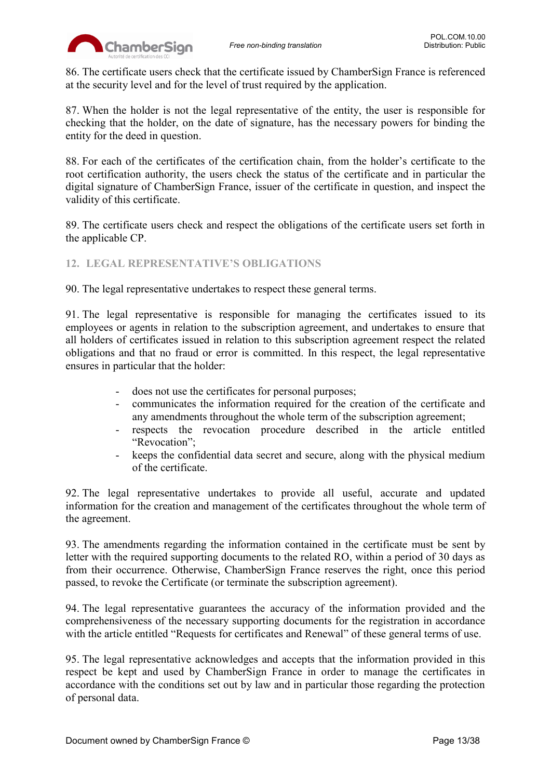86. The certificate users check that the certificate issued by ChamberSign France is referenced at the security level and for the level of trust required by the application.

87. When the holder is not the legal representative of the entity, the user is responsible for checking that the holder, on the date of signature, has the necessary powers for binding the entity for the deed in question.

88. For each of the certificates of the certification chain, from the holder's certificate to the root certification authority, the users check the status of the certificate and in particular the digital signature of ChamberSign France, issuer of the certificate in question, and inspect the validity of this certificate.

89. The certificate users check and respect the obligations of the certificate users set forth in the applicable CP.

### <span id="page-12-0"></span>**12. LEGAL REPRESENTATIVE'S OBLIGATIONS**

90. The legal representative undertakes to respect these general terms.

91. The legal representative is responsible for managing the certificates issued to its employees or agents in relation to the subscription agreement, and undertakes to ensure that all holders of certificates issued in relation to this subscription agreement respect the related obligations and that no fraud or error is committed. In this respect, the legal representative ensures in particular that the holder:

- does not use the certificates for personal purposes;
- communicates the information required for the creation of the certificate and any amendments throughout the whole term of the subscription agreement;
- respects the revocation procedure described in the article entitled "Revocation";
- keeps the confidential data secret and secure, along with the physical medium of the certificate.

92. The legal representative undertakes to provide all useful, accurate and updated information for the creation and management of the certificates throughout the whole term of the agreement.

93. The amendments regarding the information contained in the certificate must be sent by letter with the required supporting documents to the related RO, within a period of 30 days as from their occurrence. Otherwise, ChamberSign France reserves the right, once this period passed, to revoke the Certificate (or terminate the subscription agreement).

94. The legal representative guarantees the accuracy of the information provided and the comprehensiveness of the necessary supporting documents for the registration in accordance with the article entitled "Requests for certificates and Renewal" of these general terms of use.

95. The legal representative acknowledges and accepts that the information provided in this respect be kept and used by ChamberSign France in order to manage the certificates in accordance with the conditions set out by law and in particular those regarding the protection of personal data.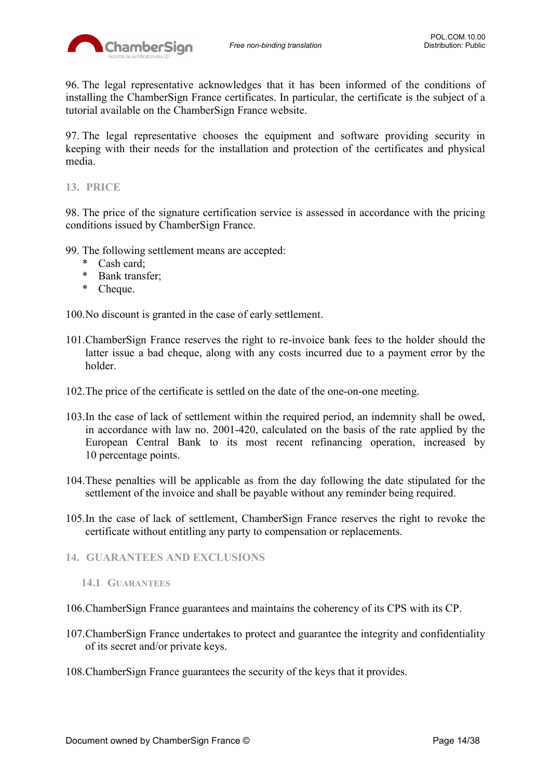96. The legal representative acknowledges that it has been informed of the conditions of installing the ChamberSign France certificates. In particular, the certificate is the subject of a tutorial available on the ChamberSign France website.

97. The legal representative chooses the equipment and software providing security in keeping with their needs for the installation and protection of the certificates and physical media.

<span id="page-13-0"></span>**13. PRICE**

98. The price of the signature certification service is assessed in accordance with the pricing conditions issued by ChamberSign France.

- 99. The following settlement means are accepted:
	- \* Cash card;
	- \* Bank transfer;
	- \* Cheque.

100.No discount is granted in the case of early settlement.

- 101.ChamberSign France reserves the right to re-invoice bank fees to the holder should the latter issue a bad cheque, along with any costs incurred due to a payment error by the holder.
- 102.The price of the certificate is settled on the date of the one-on-one meeting.
- 103.In the case of lack of settlement within the required period, an indemnity shall be owed, in accordance with law no. 2001-420, calculated on the basis of the rate applied by the European Central Bank to its most recent refinancing operation, increased by 10 percentage points.
- 104.These penalties will be applicable as from the day following the date stipulated for the settlement of the invoice and shall be payable without any reminder being required.
- 105.In the case of lack of settlement, ChamberSign France reserves the right to revoke the certificate without entitling any party to compensation or replacements.
- <span id="page-13-2"></span><span id="page-13-1"></span>**14. GUARANTEES AND EXCLUSIONS**
	- **14.1 GUARANTEES**

106.ChamberSign France guarantees and maintains the coherency of its CPS with its CP.

- 107.ChamberSign France undertakes to protect and guarantee the integrity and confidentiality of its secret and/or private keys.
- 108.ChamberSign France guarantees the security of the keys that it provides.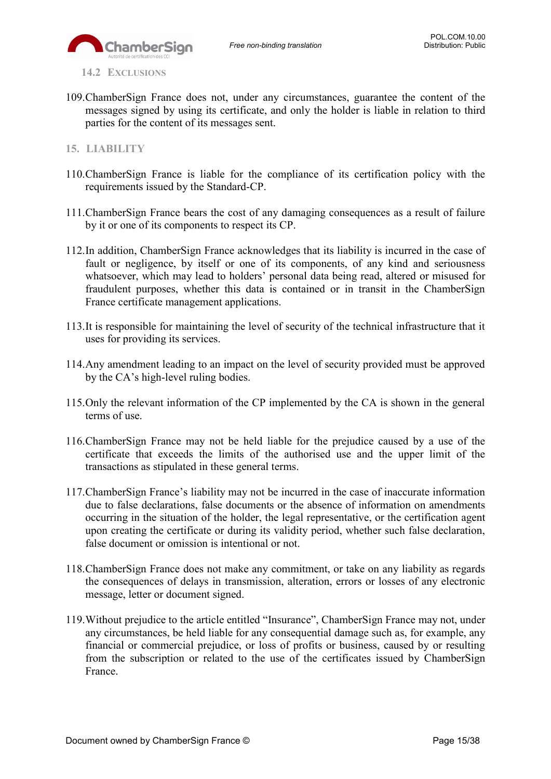

<span id="page-14-0"></span>**14.2 EXCLUSIONS**

109.ChamberSign France does not, under any circumstances, guarantee the content of the messages signed by using its certificate, and only the holder is liable in relation to third parties for the content of its messages sent.

### <span id="page-14-1"></span>**15. LIABILITY**

- 110.ChamberSign France is liable for the compliance of its certification policy with the requirements issued by the Standard-CP.
- 111.ChamberSign France bears the cost of any damaging consequences as a result of failure by it or one of its components to respect its CP.
- 112.In addition, ChamberSign France acknowledges that its liability is incurred in the case of fault or negligence, by itself or one of its components, of any kind and seriousness whatsoever, which may lead to holders' personal data being read, altered or misused for fraudulent purposes, whether this data is contained or in transit in the ChamberSign France certificate management applications.
- 113.It is responsible for maintaining the level of security of the technical infrastructure that it uses for providing its services.
- 114.Any amendment leading to an impact on the level of security provided must be approved by the CA's high-level ruling bodies.
- 115.Only the relevant information of the CP implemented by the CA is shown in the general terms of use.
- 116.ChamberSign France may not be held liable for the prejudice caused by a use of the certificate that exceeds the limits of the authorised use and the upper limit of the transactions as stipulated in these general terms.
- 117.ChamberSign France's liability may not be incurred in the case of inaccurate information due to false declarations, false documents or the absence of information on amendments occurring in the situation of the holder, the legal representative, or the certification agent upon creating the certificate or during its validity period, whether such false declaration, false document or omission is intentional or not.
- 118.ChamberSign France does not make any commitment, or take on any liability as regards the consequences of delays in transmission, alteration, errors or losses of any electronic message, letter or document signed.
- 119.Without prejudice to the article entitled "Insurance", ChamberSign France may not, under any circumstances, be held liable for any consequential damage such as, for example, any financial or commercial prejudice, or loss of profits or business, caused by or resulting from the subscription or related to the use of the certificates issued by ChamberSign France.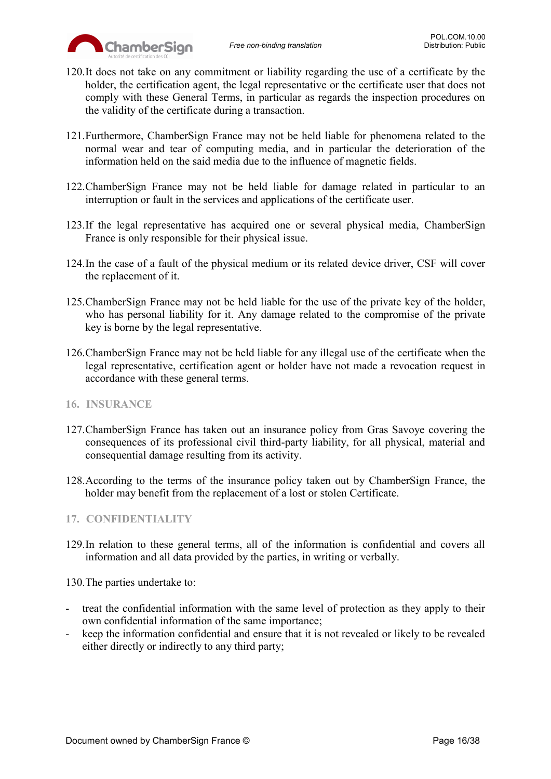

- 120.It does not take on any commitment or liability regarding the use of a certificate by the holder, the certification agent, the legal representative or the certificate user that does not comply with these General Terms, in particular as regards the inspection procedures on the validity of the certificate during a transaction.
- 121.Furthermore, ChamberSign France may not be held liable for phenomena related to the normal wear and tear of computing media, and in particular the deterioration of the information held on the said media due to the influence of magnetic fields.
- 122.ChamberSign France may not be held liable for damage related in particular to an interruption or fault in the services and applications of the certificate user.
- 123.If the legal representative has acquired one or several physical media, ChamberSign France is only responsible for their physical issue.
- 124.In the case of a fault of the physical medium or its related device driver, CSF will cover the replacement of it.
- 125.ChamberSign France may not be held liable for the use of the private key of the holder, who has personal liability for it. Any damage related to the compromise of the private key is borne by the legal representative.
- 126.ChamberSign France may not be held liable for any illegal use of the certificate when the legal representative, certification agent or holder have not made a revocation request in accordance with these general terms.
- <span id="page-15-0"></span>**16. INSURANCE**
- 127.ChamberSign France has taken out an insurance policy from Gras Savoye covering the consequences of its professional civil third-party liability, for all physical, material and consequential damage resulting from its activity.
- 128.According to the terms of the insurance policy taken out by ChamberSign France, the holder may benefit from the replacement of a lost or stolen Certificate.

### <span id="page-15-1"></span>**17. CONFIDENTIALITY**

129.In relation to these general terms, all of the information is confidential and covers all information and all data provided by the parties, in writing or verbally.

130.The parties undertake to:

- treat the confidential information with the same level of protection as they apply to their own confidential information of the same importance;
- keep the information confidential and ensure that it is not revealed or likely to be revealed either directly or indirectly to any third party;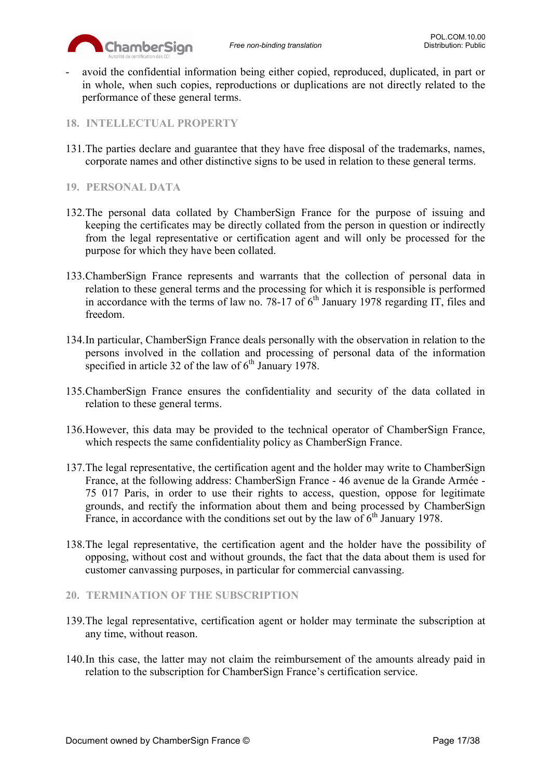

- avoid the confidential information being either copied, reproduced, duplicated, in part or in whole, when such copies, reproductions or duplications are not directly related to the performance of these general terms.

## <span id="page-16-0"></span>**18. INTELLECTUAL PROPERTY**

131.The parties declare and guarantee that they have free disposal of the trademarks, names, corporate names and other distinctive signs to be used in relation to these general terms.

### <span id="page-16-1"></span>**19. PERSONAL DATA**

- 132.The personal data collated by ChamberSign France for the purpose of issuing and keeping the certificates may be directly collated from the person in question or indirectly from the legal representative or certification agent and will only be processed for the purpose for which they have been collated.
- 133.ChamberSign France represents and warrants that the collection of personal data in relation to these general terms and the processing for which it is responsible is performed in accordance with the terms of law no. 78-17 of  $6<sup>th</sup>$  January 1978 regarding IT, files and freedom.
- 134.In particular, ChamberSign France deals personally with the observation in relation to the persons involved in the collation and processing of personal data of the information specified in article 32 of the law of  $6<sup>th</sup>$  January 1978.
- 135.ChamberSign France ensures the confidentiality and security of the data collated in relation to these general terms.
- 136.However, this data may be provided to the technical operator of ChamberSign France, which respects the same confidentiality policy as ChamberSign France.
- 137.The legal representative, the certification agent and the holder may write to ChamberSign France, at the following address: ChamberSign France - 46 avenue de la Grande Armée - 75 017 Paris, in order to use their rights to access, question, oppose for legitimate grounds, and rectify the information about them and being processed by ChamberSign France, in accordance with the conditions set out by the law of  $6<sup>th</sup>$  January 1978.
- 138.The legal representative, the certification agent and the holder have the possibility of opposing, without cost and without grounds, the fact that the data about them is used for customer canvassing purposes, in particular for commercial canvassing.

### <span id="page-16-2"></span>**20. TERMINATION OF THE SUBSCRIPTION**

- 139.The legal representative, certification agent or holder may terminate the subscription at any time, without reason.
- 140.In this case, the latter may not claim the reimbursement of the amounts already paid in relation to the subscription for ChamberSign France's certification service.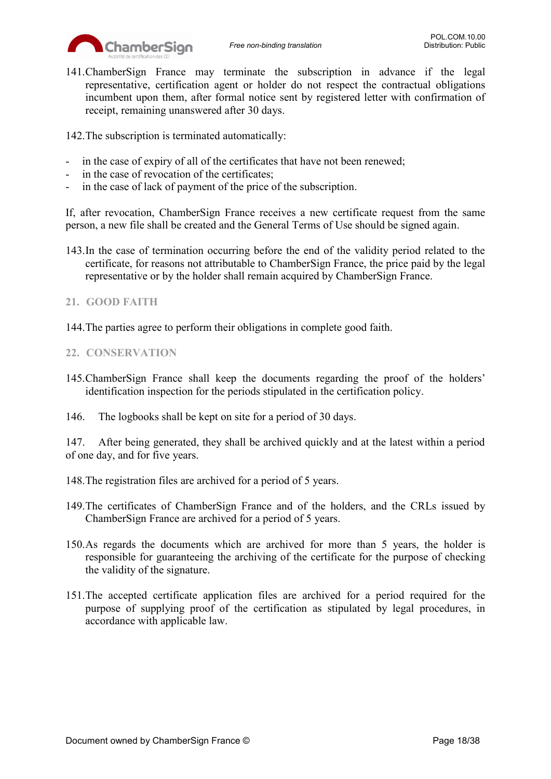

141.ChamberSign France may terminate the subscription in advance if the legal representative, certification agent or holder do not respect the contractual obligations incumbent upon them, after formal notice sent by registered letter with confirmation of receipt, remaining unanswered after 30 days.

142.The subscription is terminated automatically:

- in the case of expiry of all of the certificates that have not been renewed;
- in the case of revocation of the certificates;
- in the case of lack of payment of the price of the subscription.

If, after revocation, ChamberSign France receives a new certificate request from the same person, a new file shall be created and the General Terms of Use should be signed again.

143.In the case of termination occurring before the end of the validity period related to the certificate, for reasons not attributable to ChamberSign France, the price paid by the legal representative or by the holder shall remain acquired by ChamberSign France.

## <span id="page-17-0"></span>**21. GOOD FAITH**

144.The parties agree to perform their obligations in complete good faith.

## <span id="page-17-1"></span>**22. CONSERVATION**

145.ChamberSign France shall keep the documents regarding the proof of the holders' identification inspection for the periods stipulated in the certification policy.

146. The logbooks shall be kept on site for a period of 30 days.

147. After being generated, they shall be archived quickly and at the latest within a period of one day, and for five years.

148.The registration files are archived for a period of 5 years.

- 149.The certificates of ChamberSign France and of the holders, and the CRLs issued by ChamberSign France are archived for a period of 5 years.
- 150.As regards the documents which are archived for more than 5 years, the holder is responsible for guaranteeing the archiving of the certificate for the purpose of checking the validity of the signature.
- 151.The accepted certificate application files are archived for a period required for the purpose of supplying proof of the certification as stipulated by legal procedures, in accordance with applicable law.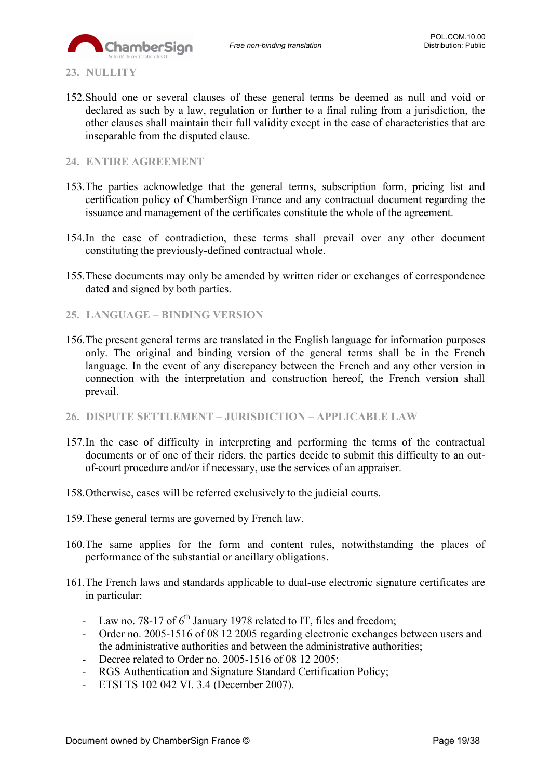

<span id="page-18-0"></span>**23. NULLITY**

152.Should one or several clauses of these general terms be deemed as null and void or declared as such by a law, regulation or further to a final ruling from a jurisdiction, the other clauses shall maintain their full validity except in the case of characteristics that are inseparable from the disputed clause.

### <span id="page-18-1"></span>**24. ENTIRE AGREEMENT**

- 153.The parties acknowledge that the general terms, subscription form, pricing list and certification policy of ChamberSign France and any contractual document regarding the issuance and management of the certificates constitute the whole of the agreement.
- 154.In the case of contradiction, these terms shall prevail over any other document constituting the previously-defined contractual whole.
- 155.These documents may only be amended by written rider or exchanges of correspondence dated and signed by both parties.
- <span id="page-18-2"></span>**25. LANGUAGE – BINDING VERSION**
- 156.The present general terms are translated in the English language for information purposes only. The original and binding version of the general terms shall be in the French language. In the event of any discrepancy between the French and any other version in connection with the interpretation and construction hereof, the French version shall prevail.
- <span id="page-18-3"></span>**26. DISPUTE SETTLEMENT – JURISDICTION – APPLICABLE LAW**
- 157.In the case of difficulty in interpreting and performing the terms of the contractual documents or of one of their riders, the parties decide to submit this difficulty to an outof-court procedure and/or if necessary, use the services of an appraiser.
- 158.Otherwise, cases will be referred exclusively to the judicial courts.
- 159.These general terms are governed by French law.
- 160.The same applies for the form and content rules, notwithstanding the places of performance of the substantial or ancillary obligations.
- 161.The French laws and standards applicable to dual-use electronic signature certificates are in particular:
	- Law no. 78-17 of  $6<sup>th</sup>$  January 1978 related to IT, files and freedom;
	- Order no. 2005-1516 of 08 12 2005 regarding electronic exchanges between users and the administrative authorities and between the administrative authorities;
	- Decree related to Order no. 2005-1516 of 08 12 2005;
	- RGS Authentication and Signature Standard Certification Policy;
	- ETSI TS 102 042 VI. 3.4 (December 2007).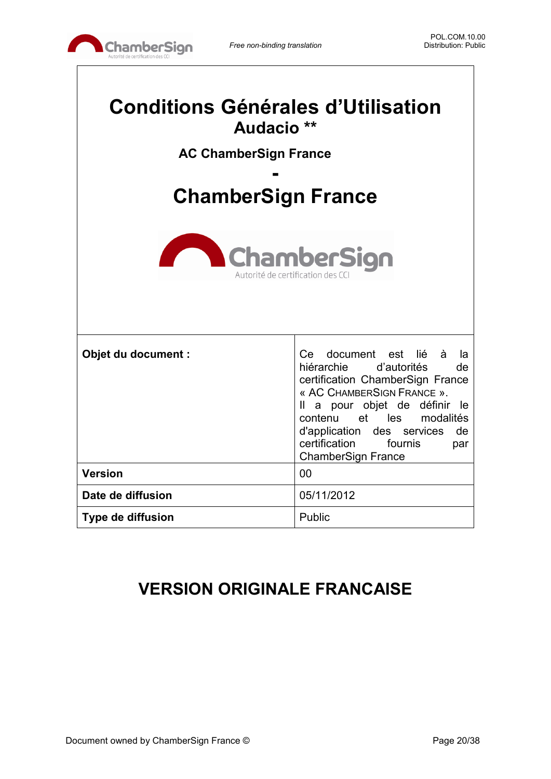

| <b>Conditions Générales d'Utilisation</b><br>Audacio **<br><b>AC ChamberSign France</b><br><b>ChamberSign France</b> |                                                                                                                                                                                                                                                                                                                         |  |
|----------------------------------------------------------------------------------------------------------------------|-------------------------------------------------------------------------------------------------------------------------------------------------------------------------------------------------------------------------------------------------------------------------------------------------------------------------|--|
| <b>ChamberSign</b><br>Autorité de certification des CC                                                               |                                                                                                                                                                                                                                                                                                                         |  |
| Objet du document :                                                                                                  | document est<br>lié<br>à<br>Ce l<br>la<br>hiérarchie d'autorités<br>de<br>certification ChamberSign France<br>« AC CHAMBERSIGN FRANCE ».<br>a pour objet de définir<br>Ш<br>le<br>contenu et<br>les<br>modalités<br>d'application<br>des services<br>de<br>certification<br>fournis<br>par<br><b>ChamberSign France</b> |  |
| <b>Version</b>                                                                                                       | 00                                                                                                                                                                                                                                                                                                                      |  |
| Date de diffusion                                                                                                    | 05/11/2012                                                                                                                                                                                                                                                                                                              |  |
| Type de diffusion                                                                                                    | Public                                                                                                                                                                                                                                                                                                                  |  |

# **VERSION ORIGINALE FRANCAISE**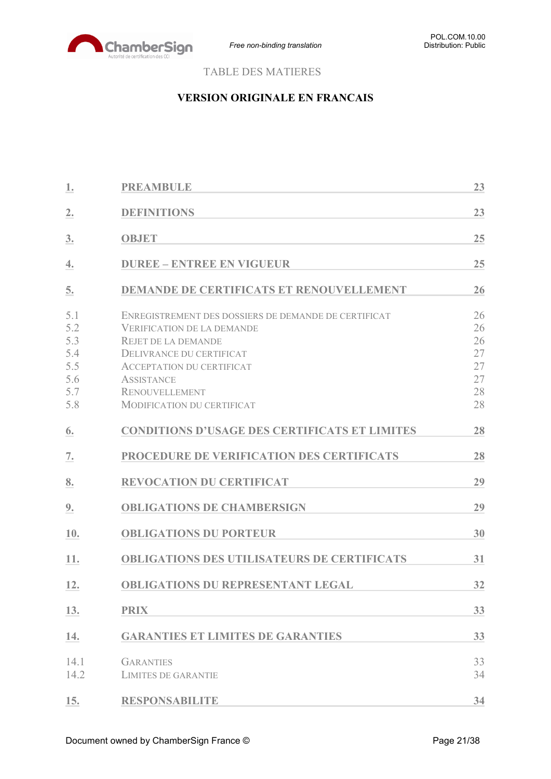

# TABLE DES MATIERES

# **VERSION ORIGINALE EN FRANCAIS**

| 1.                                                   | <b>PREAMBULE</b>                                                                                                                                                                                                                                             | 23                                           |
|------------------------------------------------------|--------------------------------------------------------------------------------------------------------------------------------------------------------------------------------------------------------------------------------------------------------------|----------------------------------------------|
| 2.                                                   | <b>DEFINITIONS</b>                                                                                                                                                                                                                                           | 23                                           |
| 3.                                                   | <b>OBJET</b>                                                                                                                                                                                                                                                 | 25                                           |
| 4.                                                   | <b>DUREE - ENTREE EN VIGUEUR</b>                                                                                                                                                                                                                             | 25                                           |
| 5.                                                   | <b>DEMANDE DE CERTIFICATS ET RENOUVELLEMENT</b>                                                                                                                                                                                                              | 26                                           |
| 5.1<br>5.2<br>5.3<br>5.4<br>5.5<br>5.6<br>5.7<br>5.8 | ENREGISTREMENT DES DOSSIERS DE DEMANDE DE CERTIFICAT<br><b>VERIFICATION DE LA DEMANDE</b><br><b>REJET DE LA DEMANDE</b><br>DELIVRANCE DU CERTIFICAT<br><b>ACCEPTATION DU CERTIFICAT</b><br><b>ASSISTANCE</b><br>RENOUVELLEMENT<br>MODIFICATION DU CERTIFICAT | 26<br>26<br>26<br>27<br>27<br>27<br>28<br>28 |
| 6.                                                   | <b>CONDITIONS D'USAGE DES CERTIFICATS ET LIMITES</b>                                                                                                                                                                                                         | 28                                           |
| 7.                                                   | PROCEDURE DE VERIFICATION DES CERTIFICATS                                                                                                                                                                                                                    | 28                                           |
| 8.                                                   | <b>REVOCATION DU CERTIFICAT</b>                                                                                                                                                                                                                              | 29                                           |
| 9.                                                   | <b>OBLIGATIONS DE CHAMBERSIGN</b>                                                                                                                                                                                                                            | 29                                           |
| 10.                                                  | <b>OBLIGATIONS DU PORTEUR</b>                                                                                                                                                                                                                                | 30                                           |
| 11.                                                  | <b>OBLIGATIONS DES UTILISATEURS DE CERTIFICATS</b>                                                                                                                                                                                                           | 31                                           |
| 12.                                                  | <b>OBLIGATIONS DU REPRESENTANT LEGAL</b>                                                                                                                                                                                                                     | 32                                           |
| 13.                                                  | <b>PRIX</b>                                                                                                                                                                                                                                                  | 33                                           |
| 14.                                                  | <b>GARANTIES ET LIMITES DE GARANTIES</b>                                                                                                                                                                                                                     | 33                                           |
| 14.1<br>14.2                                         | <b>GARANTIES</b><br><b>LIMITES DE GARANTIE</b>                                                                                                                                                                                                               | 33<br>34                                     |
| 15.                                                  | <b>RESPONSABILITE</b>                                                                                                                                                                                                                                        | 34                                           |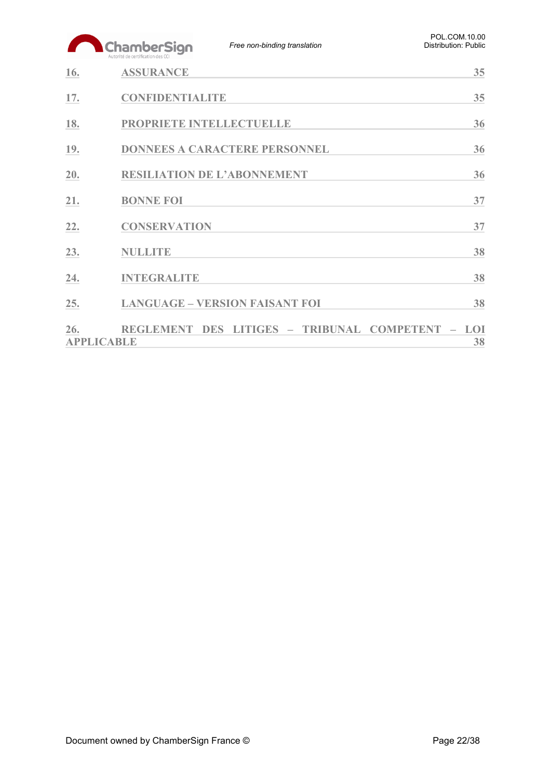| POL.COM.10.00        |
|----------------------|
| Distribution: Public |
|                      |

|     | ChamberSign<br>Autorité de certification des CCI | Free non-binding translation          | <b>FUL.UUIVI.IU.UU</b><br><b>Distribution: Public</b> |
|-----|--------------------------------------------------|---------------------------------------|-------------------------------------------------------|
| 16. | <b>ASSURANCE</b>                                 |                                       | 35                                                    |
| 17. | <b>CONFIDENTIALITE</b>                           |                                       | 35                                                    |
| 18. | PROPRIETE INTELLECTUELLE                         |                                       | 36                                                    |
| 19. |                                                  | <b>DONNEES A CARACTERE PERSONNEL</b>  | 36                                                    |
| 20. |                                                  | <b>RESILIATION DE L'ABONNEMENT</b>    | 36                                                    |
| 21. | <b>BONNE FOI</b>                                 |                                       | 37                                                    |
| 22. | <b>CONSERVATION</b>                              |                                       | 37                                                    |
| 23. | <b>NULLITE</b>                                   |                                       | 38                                                    |
| 24. | <b>INTEGRALITE</b>                               |                                       | 38                                                    |
| 25. |                                                  | <b>LANGUAGE - VERSION FAISANT FOI</b> | 38                                                    |
| 26. | <b>REGLEMENT DES</b><br><b>APPLICABLE</b>        | LITIGES - TRIBUNAL COMPETENT          | LOI<br>38                                             |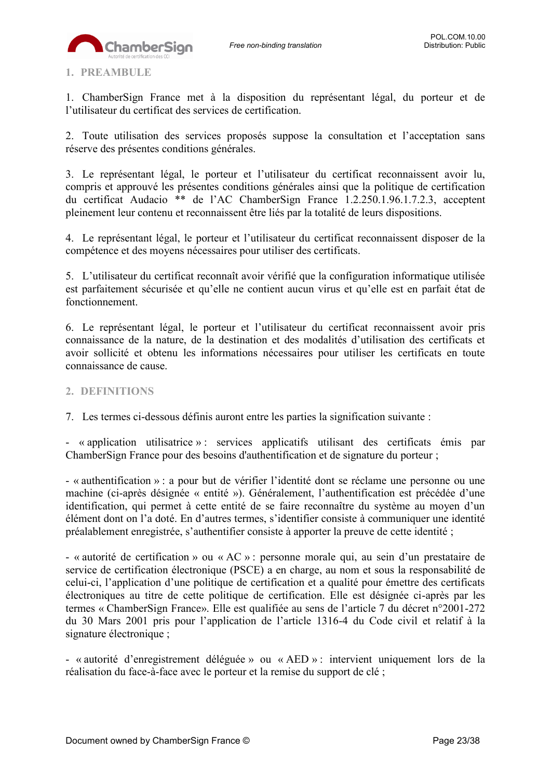

### <span id="page-22-0"></span>**1. PREAMBULE**

1. ChamberSign France met à la disposition du représentant légal, du porteur et de l'utilisateur du certificat des services de certification.

2. Toute utilisation des services proposés suppose la consultation et l'acceptation sans réserve des présentes conditions générales.

3. Le représentant légal, le porteur et l'utilisateur du certificat reconnaissent avoir lu, compris et approuvé les présentes conditions générales ainsi que la politique de certification du certificat Audacio \*\* de l'AC ChamberSign France 1.2.250.1.96.1.7.2.3, acceptent pleinement leur contenu et reconnaissent être liés par la totalité de leurs dispositions.

4. Le représentant légal, le porteur et l'utilisateur du certificat reconnaissent disposer de la compétence et des moyens nécessaires pour utiliser des certificats.

5. L'utilisateur du certificat reconnaît avoir vérifié que la configuration informatique utilisée est parfaitement sécurisée et qu'elle ne contient aucun virus et qu'elle est en parfait état de fonctionnement.

6. Le représentant légal, le porteur et l'utilisateur du certificat reconnaissent avoir pris connaissance de la nature, de la destination et des modalités d'utilisation des certificats et avoir sollicité et obtenu les informations nécessaires pour utiliser les certificats en toute connaissance de cause.

### <span id="page-22-1"></span>**2. DEFINITIONS**

7. Les termes ci-dessous définis auront entre les parties la signification suivante :

- « application utilisatrice » : services applicatifs utilisant des certificats émis par ChamberSign France pour des besoins d'authentification et de signature du porteur ;

- « authentification » : a pour but de vérifier l'identité dont se réclame une personne ou une machine (ci-après désignée « entité »). Généralement, l'authentification est précédée d'une identification, qui permet à cette entité de se faire reconnaître du système au moyen d'un élément dont on l'a doté. En d'autres termes, s'identifier consiste à communiquer une identité préalablement enregistrée, s'authentifier consiste à apporter la preuve de cette identité ;

- « autorité de certification » ou « AC » : personne morale qui, au sein d'un prestataire de service de certification électronique (PSCE) a en charge, au nom et sous la responsabilité de celui-ci, l'application d'une politique de certification et a qualité pour émettre des certificats électroniques au titre de cette politique de certification. Elle est désignée ci-après par les termes « ChamberSign France». Elle est qualifiée au sens de l'article 7 du décret n°2001-272 du 30 Mars 2001 pris pour l'application de l'article 1316-4 du Code civil et relatif à la signature électronique ;

- « autorité d'enregistrement déléguée » ou « AED » : intervient uniquement lors de la réalisation du face-à-face avec le porteur et la remise du support de clé ;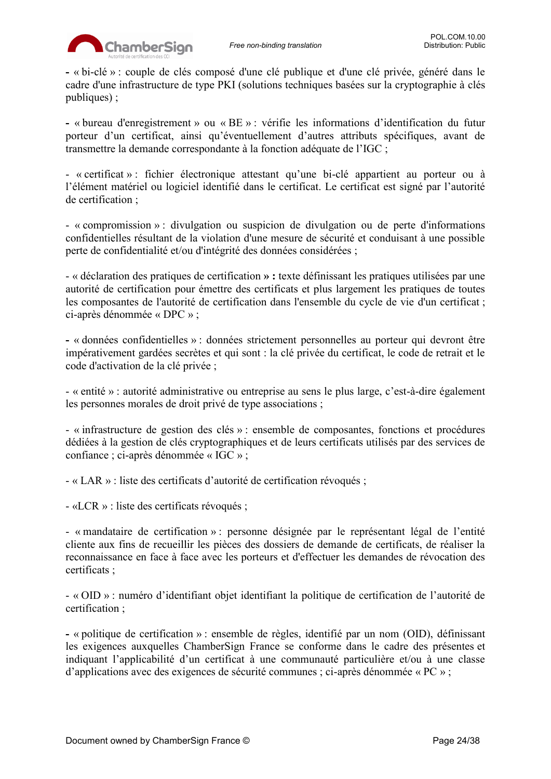

**-** « bi-clé » : couple de clés composé d'une clé publique et d'une clé privée, généré dans le cadre d'une infrastructure de type PKI (solutions techniques basées sur la cryptographie à clés publiques) ;

**-** « bureau d'enregistrement » ou « BE » : vérifie les informations d'identification du futur porteur d'un certificat, ainsi qu'éventuellement d'autres attributs spécifiques, avant de transmettre la demande correspondante à la fonction adéquate de l'IGC ;

- « certificat » : fichier électronique attestant qu'une bi-clé appartient au porteur ou à l'élément matériel ou logiciel identifié dans le certificat. Le certificat est signé par l'autorité de certification ;

- « compromission » : divulgation ou suspicion de divulgation ou de perte d'informations confidentielles résultant de la violation d'une mesure de sécurité et conduisant à une possible perte de confidentialité et/ou d'intégrité des données considérées ;

- « déclaration des pratiques de certification **» :** texte définissant les pratiques utilisées par une autorité de certification pour émettre des certificats et plus largement les pratiques de toutes les composantes de l'autorité de certification dans l'ensemble du cycle de vie d'un certificat ; ci-après dénommée « DPC » ;

**-** « données confidentielles » : données strictement personnelles au porteur qui devront être impérativement gardées secrètes et qui sont : la clé privée du certificat, le code de retrait et le code d'activation de la clé privée ;

- « entité » : autorité administrative ou entreprise au sens le plus large, c'est-à-dire également les personnes morales de droit privé de type associations ;

- « infrastructure de gestion des clés » : ensemble de composantes, fonctions et procédures dédiées à la gestion de clés cryptographiques et de leurs certificats utilisés par des services de confiance ; ci-après dénommée « IGC » ;

- « LAR » : liste des certificats d'autorité de certification révoqués ;

- «LCR » : liste des certificats révoqués ;

- « mandataire de certification » : personne désignée par le représentant légal de l'entité cliente aux fins de recueillir les pièces des dossiers de demande de certificats, de réaliser la reconnaissance en face à face avec les porteurs et d'effectuer les demandes de révocation des certificats ;

- « OID » : numéro d'identifiant objet identifiant la politique de certification de l'autorité de certification ;

**-** « politique de certification » : ensemble de règles, identifié par un nom (OID), définissant les exigences auxquelles ChamberSign France se conforme dans le cadre des présentes et indiquant l'applicabilité d'un certificat à une communauté particulière et/ou à une classe d'applications avec des exigences de sécurité communes ; ci-après dénommée « PC » ;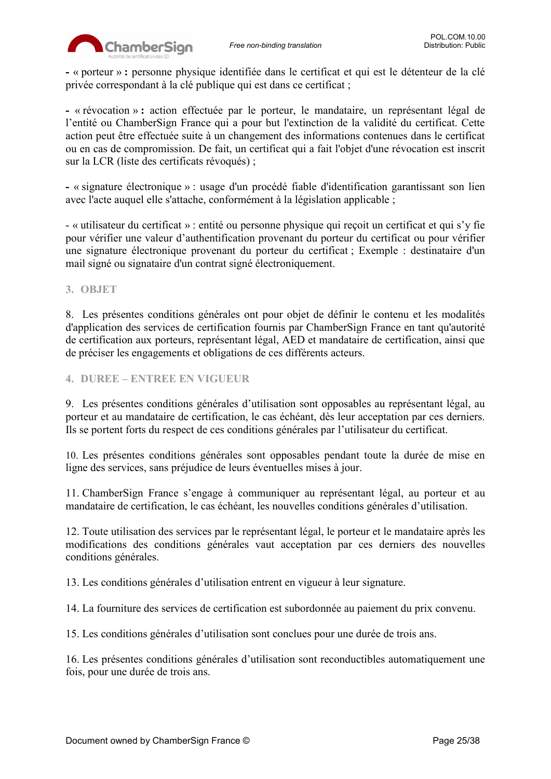

**-** « porteur » **:** personne physique identifiée dans le certificat et qui est le détenteur de la clé privée correspondant à la clé publique qui est dans ce certificat ;

**-** « révocation » **:** action effectuée par le porteur, le mandataire, un représentant légal de l'entité ou ChamberSign France qui a pour but l'extinction de la validité du certificat. Cette action peut être effectuée suite à un changement des informations contenues dans le certificat ou en cas de compromission. De fait, un certificat qui a fait l'objet d'une révocation est inscrit sur la LCR (liste des certificats révoqués) ;

**-** « signature électronique » : usage d'un procédé fiable d'identification garantissant son lien avec l'acte auquel elle s'attache, conformément à la législation applicable ;

- « utilisateur du certificat » : entité ou personne physique qui reçoit un certificat et qui s'y fie pour vérifier une valeur d'authentification provenant du porteur du certificat ou pour vérifier une signature électronique provenant du porteur du certificat ; Exemple : destinataire d'un mail signé ou signataire d'un contrat signé électroniquement.

<span id="page-24-0"></span>**3. OBJET**

8. Les présentes conditions générales ont pour objet de définir le contenu et les modalités d'application des services de certification fournis par ChamberSign France en tant qu'autorité de certification aux porteurs, représentant légal, AED et mandataire de certification, ainsi que de préciser les engagements et obligations de ces différents acteurs.

<span id="page-24-1"></span>**4. DUREE – ENTREE EN VIGUEUR**

9. Les présentes conditions générales d'utilisation sont opposables au représentant légal, au porteur et au mandataire de certification, le cas échéant, dès leur acceptation par ces derniers. Ils se portent forts du respect de ces conditions générales par l'utilisateur du certificat.

10. Les présentes conditions générales sont opposables pendant toute la durée de mise en ligne des services, sans préjudice de leurs éventuelles mises à jour.

11. ChamberSign France s'engage à communiquer au représentant légal, au porteur et au mandataire de certification, le cas échéant, les nouvelles conditions générales d'utilisation.

12. Toute utilisation des services par le représentant légal, le porteur et le mandataire après les modifications des conditions générales vaut acceptation par ces derniers des nouvelles conditions générales.

13. Les conditions générales d'utilisation entrent en vigueur à leur signature.

14. La fourniture des services de certification est subordonnée au paiement du prix convenu.

15. Les conditions générales d'utilisation sont conclues pour une durée de trois ans.

16. Les présentes conditions générales d'utilisation sont reconductibles automatiquement une fois, pour une durée de trois ans.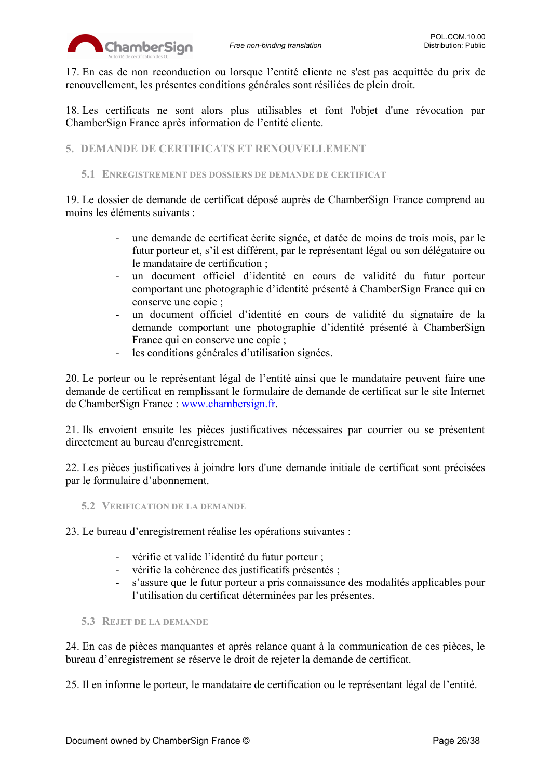

17. En cas de non reconduction ou lorsque l'entité cliente ne s'est pas acquittée du prix de renouvellement, les présentes conditions générales sont résiliées de plein droit.

18. Les certificats ne sont alors plus utilisables et font l'objet d'une révocation par ChamberSign France après information de l'entité cliente.

<span id="page-25-0"></span>**5. DEMANDE DE CERTIFICATS ET RENOUVELLEMENT**

### <span id="page-25-1"></span>**5.1 ENREGISTREMENT DES DOSSIERS DE DEMANDE DE CERTIFICAT**

19. Le dossier de demande de certificat déposé auprès de ChamberSign France comprend au moins les éléments suivants :

- une demande de certificat écrite signée, et datée de moins de trois mois, par le futur porteur et, s'il est différent, par le représentant légal ou son délégataire ou le mandataire de certification ;
- un document officiel d'identité en cours de validité du futur porteur comportant une photographie d'identité présenté à ChamberSign France qui en conserve une copie ;
- un document officiel d'identité en cours de validité du signataire de la demande comportant une photographie d'identité présenté à ChamberSign France qui en conserve une copie ;
- les conditions générales d'utilisation signées.

20. Le porteur ou le représentant légal de l'entité ainsi que le mandataire peuvent faire une demande de certificat en remplissant le formulaire de demande de certificat sur le site Internet de ChamberSign France : [www.chambersign.fr.](http://www.chambersign.fr/)

21. Ils envoient ensuite les pièces justificatives nécessaires par courrier ou se présentent directement au bureau d'enregistrement.

22. Les pièces justificatives à joindre lors d'une demande initiale de certificat sont précisées par le formulaire d'abonnement.

<span id="page-25-2"></span>**5.2 VERIFICATION DE LA DEMANDE**

23. Le bureau d'enregistrement réalise les opérations suivantes :

- vérifie et valide l'identité du futur porteur ;
- vérifie la cohérence des justificatifs présentés ;
- s'assure que le futur porteur a pris connaissance des modalités applicables pour l'utilisation du certificat déterminées par les présentes.
- <span id="page-25-3"></span>**5.3 REJET DE LA DEMANDE**

24. En cas de pièces manquantes et après relance quant à la communication de ces pièces, le bureau d'enregistrement se réserve le droit de rejeter la demande de certificat.

25. Il en informe le porteur, le mandataire de certification ou le représentant légal de l'entité.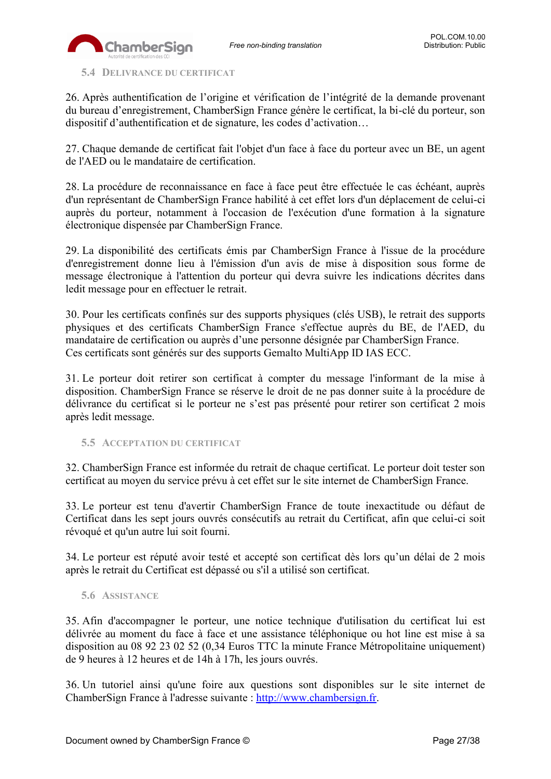

<span id="page-26-0"></span>**5.4 DELIVRANCE DU CERTIFICAT**

26. Après authentification de l'origine et vérification de l'intégrité de la demande provenant du bureau d'enregistrement, ChamberSign France génère le certificat, la bi-clé du porteur, son dispositif d'authentification et de signature, les codes d'activation…

27. Chaque demande de certificat fait l'objet d'un face à face du porteur avec un BE, un agent de l'AED ou le mandataire de certification.

28. La procédure de reconnaissance en face à face peut être effectuée le cas échéant, auprès d'un représentant de ChamberSign France habilité à cet effet lors d'un déplacement de celui-ci auprès du porteur, notamment à l'occasion de l'exécution d'une formation à la signature électronique dispensée par ChamberSign France.

29. La disponibilité des certificats émis par ChamberSign France à l'issue de la procédure d'enregistrement donne lieu à l'émission d'un avis de mise à disposition sous forme de message électronique à l'attention du porteur qui devra suivre les indications décrites dans ledit message pour en effectuer le retrait.

30. Pour les certificats confinés sur des supports physiques (clés USB), le retrait des supports physiques et des certificats ChamberSign France s'effectue auprès du BE, de l'AED, du mandataire de certification ou auprès d'une personne désignée par ChamberSign France. Ces certificats sont générés sur des supports Gemalto MultiApp ID IAS ECC.

31. Le porteur doit retirer son certificat à compter du message l'informant de la mise à disposition. ChamberSign France se réserve le droit de ne pas donner suite à la procédure de délivrance du certificat si le porteur ne s'est pas présenté pour retirer son certificat 2 mois après ledit message.

### <span id="page-26-1"></span>**5.5 ACCEPTATION DU CERTIFICAT**

32. ChamberSign France est informée du retrait de chaque certificat. Le porteur doit tester son certificat au moyen du service prévu à cet effet sur le site internet de ChamberSign France.

33. Le porteur est tenu d'avertir ChamberSign France de toute inexactitude ou défaut de Certificat dans les sept jours ouvrés consécutifs au retrait du Certificat, afin que celui-ci soit révoqué et qu'un autre lui soit fourni.

34. Le porteur est réputé avoir testé et accepté son certificat dès lors qu'un délai de 2 mois après le retrait du Certificat est dépassé ou s'il a utilisé son certificat.

### <span id="page-26-2"></span>**5.6 ASSISTANCE**

35. Afin d'accompagner le porteur, une notice technique d'utilisation du certificat lui est délivrée au moment du face à face et une assistance téléphonique ou hot line est mise à sa disposition au 08 92 23 02 52 (0,34 Euros TTC la minute France Métropolitaine uniquement) de 9 heures à 12 heures et de 14h à 17h, les jours ouvrés.

36. Un tutoriel ainsi qu'une foire aux questions sont disponibles sur le site internet de ChamberSign France à l'adresse suivante : [http://www.chambersign.fr.](http://www.chambersign.fr/)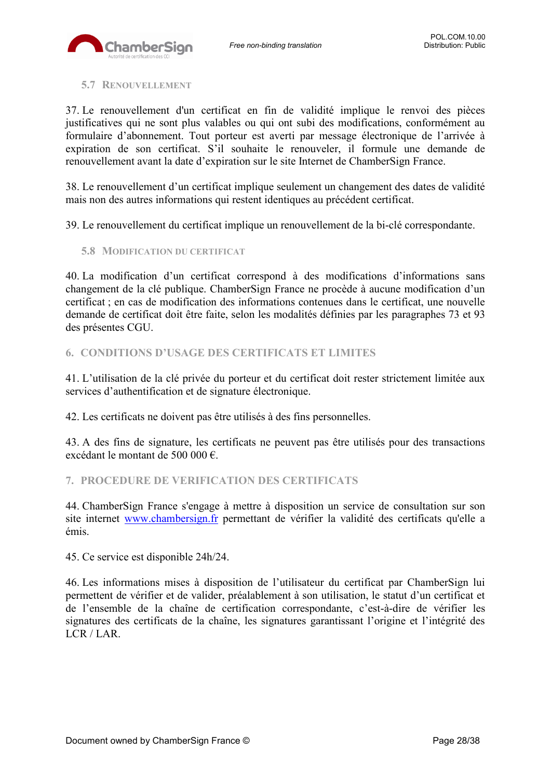

### <span id="page-27-0"></span>**5.7 RENOUVELLEMENT**

37. Le renouvellement d'un certificat en fin de validité implique le renvoi des pièces justificatives qui ne sont plus valables ou qui ont subi des modifications, conformément au formulaire d'abonnement. Tout porteur est averti par message électronique de l'arrivée à expiration de son certificat. S'il souhaite le renouveler, il formule une demande de renouvellement avant la date d'expiration sur le site Internet de ChamberSign France.

38. Le renouvellement d'un certificat implique seulement un changement des dates de validité mais non des autres informations qui restent identiques au précédent certificat.

39. Le renouvellement du certificat implique un renouvellement de la bi-clé correspondante.

<span id="page-27-1"></span>**5.8 MODIFICATION DU CERTIFICAT**

40. La modification d'un certificat correspond à des modifications d'informations sans changement de la clé publique. ChamberSign France ne procède à aucune modification d'un certificat ; en cas de modification des informations contenues dans le certificat, une nouvelle demande de certificat doit être faite, selon les modalités définies par les paragraphes 73 et 93 des présentes CGU.

### <span id="page-27-2"></span>**6. CONDITIONS D'USAGE DES CERTIFICATS ET LIMITES**

41. L'utilisation de la clé privée du porteur et du certificat doit rester strictement limitée aux services d'authentification et de signature électronique.

42. Les certificats ne doivent pas être utilisés à des fins personnelles.

43. A des fins de signature, les certificats ne peuvent pas être utilisés pour des transactions excédant le montant de 500 000 €.

### <span id="page-27-3"></span>**7. PROCEDURE DE VERIFICATION DES CERTIFICATS**

44. ChamberSign France s'engage à mettre à disposition un service de consultation sur son site internet [www.chambersign.fr](http://www.chambersign.fr/) permettant de vérifier la validité des certificats qu'elle a émis.

45. Ce service est disponible 24h/24.

46. Les informations mises à disposition de l'utilisateur du certificat par ChamberSign lui permettent de vérifier et de valider, préalablement à son utilisation, le statut d'un certificat et de l'ensemble de la chaîne de certification correspondante, c'est-à-dire de vérifier les signatures des certificats de la chaîne, les signatures garantissant l'origine et l'intégrité des LCR / LAR.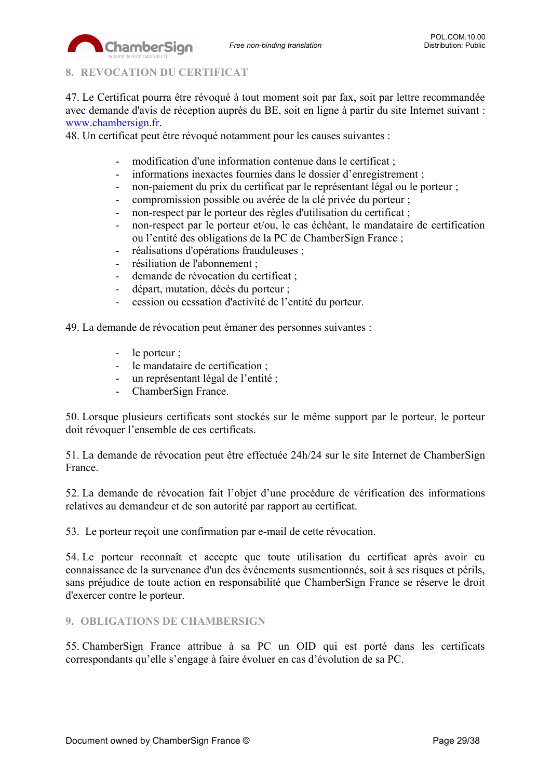

# <span id="page-28-0"></span>**8. REVOCATION DU CERTIFICAT**

ChamberSign

47. Le Certificat pourra être révoqué à tout moment soit par fax, soit par lettre recommandée avec demande d'avis de réception auprès du BE, soit en ligne à partir du site Internet suivant : [www.chambersign.fr.](http://www.chambersign.fr/)

48. Un certificat peut être révoqué notamment pour les causes suivantes :

- modification d'une information contenue dans le certificat ;
- informations inexactes fournies dans le dossier d'enregistrement ;
- non-paiement du prix du certificat par le représentant légal ou le porteur ;
- compromission possible ou avérée de la clé privée du porteur ;
- non-respect par le porteur des règles d'utilisation du certificat ;
- non-respect par le porteur et/ou, le cas échéant, le mandataire de certification ou l'entité des obligations de la PC de ChamberSign France ;
- réalisations d'opérations frauduleuses ;
- résiliation de l'abonnement ;
- demande de révocation du certificat ;
- départ, mutation, décès du porteur ;
- cession ou cessation d'activité de l'entité du porteur.

49. La demande de révocation peut émaner des personnes suivantes :

- le porteur ;
- le mandataire de certification ;
- un représentant légal de l'entité ;
- ChamberSign France.

50. Lorsque plusieurs certificats sont stockés sur le même support par le porteur, le porteur doit révoquer l'ensemble de ces certificats.

51. La demande de révocation peut être effectuée 24h/24 sur le site Internet de ChamberSign France.

52. La demande de révocation fait l'objet d'une procédure de vérification des informations relatives au demandeur et de son autorité par rapport au certificat.

53. Le porteur reçoit une confirmation par e-mail de cette révocation.

54. Le porteur reconnaît et accepte que toute utilisation du certificat après avoir eu connaissance de la survenance d'un des événements susmentionnés, soit à ses risques et périls, sans préjudice de toute action en responsabilité que ChamberSign France se réserve le droit d'exercer contre le porteur.

## <span id="page-28-1"></span>**9. OBLIGATIONS DE CHAMBERSIGN**

55. ChamberSign France attribue à sa PC un OID qui est porté dans les certificats correspondants qu'elle s'engage à faire évoluer en cas d'évolution de sa PC.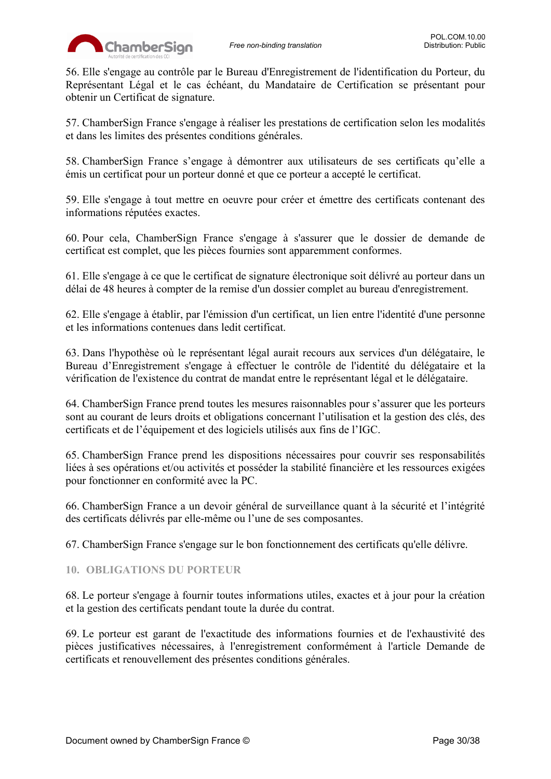

56. Elle s'engage au contrôle par le Bureau d'Enregistrement de l'identification du Porteur, du Représentant Légal et le cas échéant, du Mandataire de Certification se présentant pour obtenir un Certificat de signature.

57. ChamberSign France s'engage à réaliser les prestations de certification selon les modalités et dans les limites des présentes conditions générales.

58. ChamberSign France s'engage à démontrer aux utilisateurs de ses certificats qu'elle a émis un certificat pour un porteur donné et que ce porteur a accepté le certificat.

59. Elle s'engage à tout mettre en oeuvre pour créer et émettre des certificats contenant des informations réputées exactes.

60. Pour cela, ChamberSign France s'engage à s'assurer que le dossier de demande de certificat est complet, que les pièces fournies sont apparemment conformes.

61. Elle s'engage à ce que le certificat de signature électronique soit délivré au porteur dans un délai de 48 heures à compter de la remise d'un dossier complet au bureau d'enregistrement.

62. Elle s'engage à établir, par l'émission d'un certificat, un lien entre l'identité d'une personne et les informations contenues dans ledit certificat.

63. Dans l'hypothèse où le représentant légal aurait recours aux services d'un délégataire, le Bureau d'Enregistrement s'engage à effectuer le contrôle de l'identité du délégataire et la vérification de l'existence du contrat de mandat entre le représentant légal et le délégataire.

64. ChamberSign France prend toutes les mesures raisonnables pour s'assurer que les porteurs sont au courant de leurs droits et obligations concernant l'utilisation et la gestion des clés, des certificats et de l'équipement et des logiciels utilisés aux fins de l'IGC.

65. ChamberSign France prend les dispositions nécessaires pour couvrir ses responsabilités liées à ses opérations et/ou activités et posséder la stabilité financière et les ressources exigées pour fonctionner en conformité avec la PC.

66. ChamberSign France a un devoir général de surveillance quant à la sécurité et l'intégrité des certificats délivrés par elle-même ou l'une de ses composantes.

67. ChamberSign France s'engage sur le bon fonctionnement des certificats qu'elle délivre.

### <span id="page-29-0"></span>**10. OBLIGATIONS DU PORTEUR**

68. Le porteur s'engage à fournir toutes informations utiles, exactes et à jour pour la création et la gestion des certificats pendant toute la durée du contrat.

69. Le porteur est garant de l'exactitude des informations fournies et de l'exhaustivité des pièces justificatives nécessaires, à l'enregistrement conformément à l'article Demande de certificats et renouvellement des présentes conditions générales.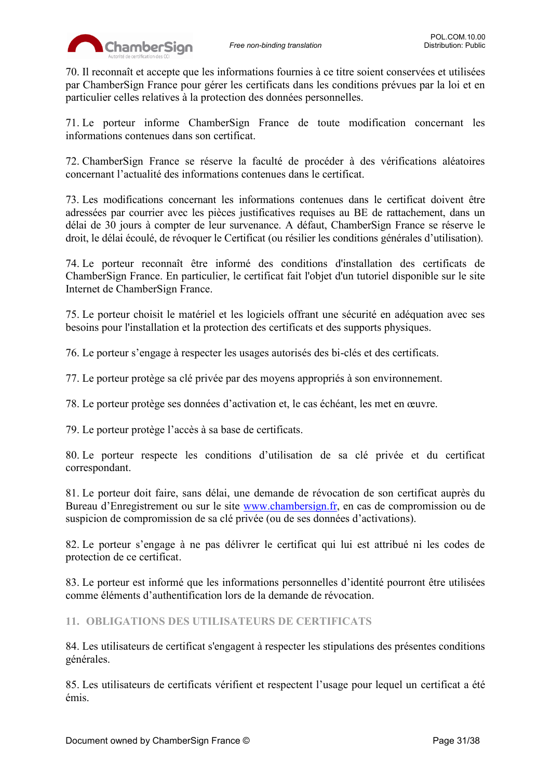

70. Il reconnaît et accepte que les informations fournies à ce titre soient conservées et utilisées par ChamberSign France pour gérer les certificats dans les conditions prévues par la loi et en particulier celles relatives à la protection des données personnelles.

71. Le porteur informe ChamberSign France de toute modification concernant les informations contenues dans son certificat.

72. ChamberSign France se réserve la faculté de procéder à des vérifications aléatoires concernant l'actualité des informations contenues dans le certificat.

73. Les modifications concernant les informations contenues dans le certificat doivent être adressées par courrier avec les pièces justificatives requises au BE de rattachement, dans un délai de 30 jours à compter de leur survenance. A défaut, ChamberSign France se réserve le droit, le délai écoulé, de révoquer le Certificat (ou résilier les conditions générales d'utilisation).

74. Le porteur reconnaît être informé des conditions d'installation des certificats de ChamberSign France. En particulier, le certificat fait l'objet d'un tutoriel disponible sur le site Internet de ChamberSign France.

75. Le porteur choisit le matériel et les logiciels offrant une sécurité en adéquation avec ses besoins pour l'installation et la protection des certificats et des supports physiques.

76. Le porteur s'engage à respecter les usages autorisés des bi-clés et des certificats.

77. Le porteur protège sa clé privée par des moyens appropriés à son environnement.

78. Le porteur protège ses données d'activation et, le cas échéant, les met en œuvre.

79. Le porteur protège l'accès à sa base de certificats.

80. Le porteur respecte les conditions d'utilisation de sa clé privée et du certificat correspondant.

81. Le porteur doit faire, sans délai, une demande de révocation de son certificat auprès du Bureau d'Enregistrement ou sur le site [www.chambersign.fr,](http://www.chambersign.fr/) en cas de compromission ou de suspicion de compromission de sa clé privée (ou de ses données d'activations).

82. Le porteur s'engage à ne pas délivrer le certificat qui lui est attribué ni les codes de protection de ce certificat.

83. Le porteur est informé que les informations personnelles d'identité pourront être utilisées comme éléments d'authentification lors de la demande de révocation.

<span id="page-30-0"></span>**11. OBLIGATIONS DES UTILISATEURS DE CERTIFICATS**

84. Les utilisateurs de certificat s'engagent à respecter les stipulations des présentes conditions générales.

85. Les utilisateurs de certificats vérifient et respectent l'usage pour lequel un certificat a été émis.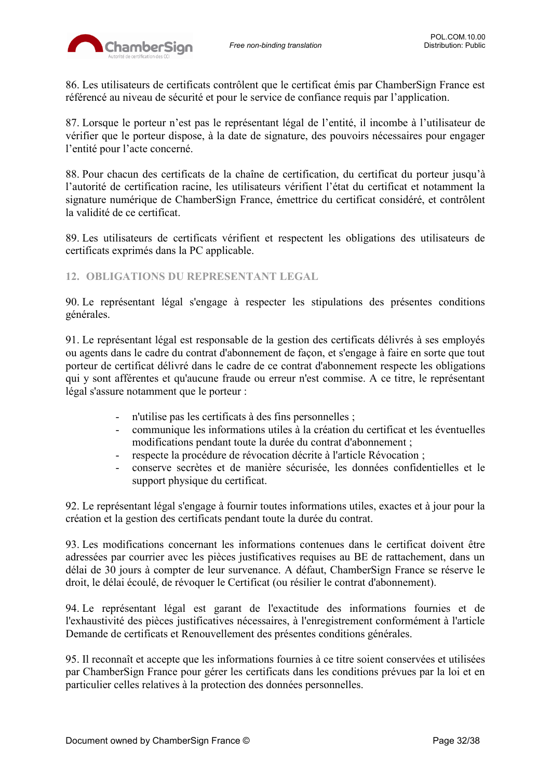

86. Les utilisateurs de certificats contrôlent que le certificat émis par ChamberSign France est référencé au niveau de sécurité et pour le service de confiance requis par l'application.

87. Lorsque le porteur n'est pas le représentant légal de l'entité, il incombe à l'utilisateur de vérifier que le porteur dispose, à la date de signature, des pouvoirs nécessaires pour engager l'entité pour l'acte concerné.

88. Pour chacun des certificats de la chaîne de certification, du certificat du porteur jusqu'à l'autorité de certification racine, les utilisateurs vérifient l'état du certificat et notamment la signature numérique de ChamberSign France, émettrice du certificat considéré, et contrôlent la validité de ce certificat.

89. Les utilisateurs de certificats vérifient et respectent les obligations des utilisateurs de certificats exprimés dans la PC applicable.

### <span id="page-31-0"></span>**12. OBLIGATIONS DU REPRESENTANT LEGAL**

90. Le représentant légal s'engage à respecter les stipulations des présentes conditions générales.

91. Le représentant légal est responsable de la gestion des certificats délivrés à ses employés ou agents dans le cadre du contrat d'abonnement de façon, et s'engage à faire en sorte que tout porteur de certificat délivré dans le cadre de ce contrat d'abonnement respecte les obligations qui y sont afférentes et qu'aucune fraude ou erreur n'est commise. A ce titre, le représentant légal s'assure notamment que le porteur :

- n'utilise pas les certificats à des fins personnelles ;
- communique les informations utiles à la création du certificat et les éventuelles modifications pendant toute la durée du contrat d'abonnement ;
- respecte la procédure de révocation décrite à l'article Révocation;
- conserve secrètes et de manière sécurisée, les données confidentielles et le support physique du certificat.

92. Le représentant légal s'engage à fournir toutes informations utiles, exactes et à jour pour la création et la gestion des certificats pendant toute la durée du contrat.

93. Les modifications concernant les informations contenues dans le certificat doivent être adressées par courrier avec les pièces justificatives requises au BE de rattachement, dans un délai de 30 jours à compter de leur survenance. A défaut, ChamberSign France se réserve le droit, le délai écoulé, de révoquer le Certificat (ou résilier le contrat d'abonnement).

94. Le représentant légal est garant de l'exactitude des informations fournies et de l'exhaustivité des pièces justificatives nécessaires, à l'enregistrement conformément à l'article Demande de certificats et Renouvellement des présentes conditions générales.

95. Il reconnaît et accepte que les informations fournies à ce titre soient conservées et utilisées par ChamberSign France pour gérer les certificats dans les conditions prévues par la loi et en particulier celles relatives à la protection des données personnelles.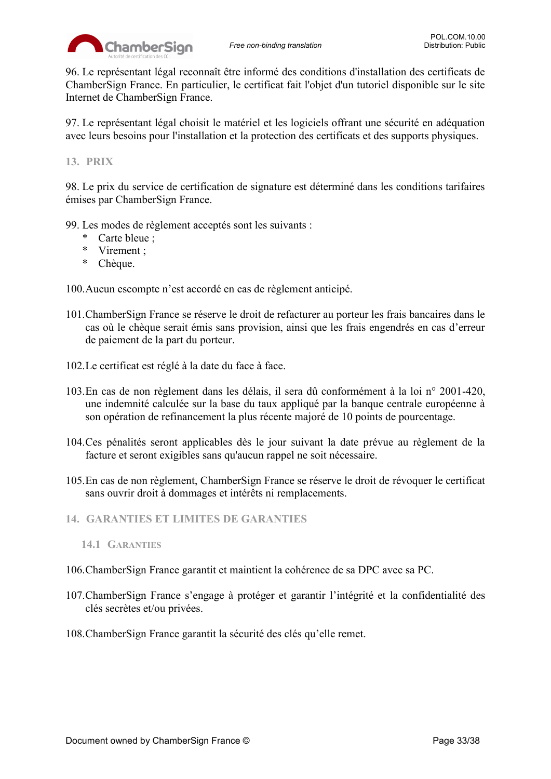

96. Le représentant légal reconnaît être informé des conditions d'installation des certificats de ChamberSign France. En particulier, le certificat fait l'objet d'un tutoriel disponible sur le site Internet de ChamberSign France.

97. Le représentant légal choisit le matériel et les logiciels offrant une sécurité en adéquation avec leurs besoins pour l'installation et la protection des certificats et des supports physiques.

### <span id="page-32-0"></span>**13. PRIX**

98. Le prix du service de certification de signature est déterminé dans les conditions tarifaires émises par ChamberSign France.

- 99. Les modes de règlement acceptés sont les suivants :
	- \* Carte bleue ;
	- \* Virement ;
	- \* Chèque.

100.Aucun escompte n'est accordé en cas de règlement anticipé.

- 101.ChamberSign France se réserve le droit de refacturer au porteur les frais bancaires dans le cas où le chèque serait émis sans provision, ainsi que les frais engendrés en cas d'erreur de paiement de la part du porteur.
- 102.Le certificat est réglé à la date du face à face.
- 103.En cas de non règlement dans les délais, il sera dû conformément à la loi n° 2001-420, une indemnité calculée sur la base du taux appliqué par la banque centrale européenne à son opération de refinancement la plus récente majoré de 10 points de pourcentage.
- 104.Ces pénalités seront applicables dès le jour suivant la date prévue au règlement de la facture et seront exigibles sans qu'aucun rappel ne soit nécessaire.
- 105.En cas de non règlement, ChamberSign France se réserve le droit de révoquer le certificat sans ouvrir droit à dommages et intérêts ni remplacements.
- <span id="page-32-2"></span><span id="page-32-1"></span>**14. GARANTIES ET LIMITES DE GARANTIES**
	- **14.1 GARANTIES**
- 106.ChamberSign France garantit et maintient la cohérence de sa DPC avec sa PC.
- 107.ChamberSign France s'engage à protéger et garantir l'intégrité et la confidentialité des clés secrètes et/ou privées.
- 108.ChamberSign France garantit la sécurité des clés qu'elle remet.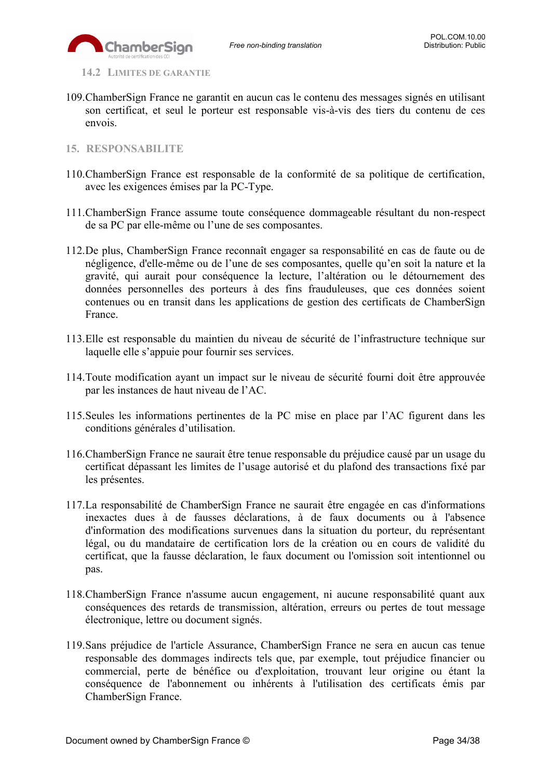<span id="page-33-0"></span>**14.2 LIMITES DE GARANTIE**

- 109.ChamberSign France ne garantit en aucun cas le contenu des messages signés en utilisant son certificat, et seul le porteur est responsable vis-à-vis des tiers du contenu de ces envois.
- <span id="page-33-1"></span>**15. RESPONSABILITE**
- 110.ChamberSign France est responsable de la conformité de sa politique de certification, avec les exigences émises par la PC-Type.
- 111.ChamberSign France assume toute conséquence dommageable résultant du non-respect de sa PC par elle-même ou l'une de ses composantes.
- 112.De plus, ChamberSign France reconnaît engager sa responsabilité en cas de faute ou de négligence, d'elle-même ou de l'une de ses composantes, quelle qu'en soit la nature et la gravité, qui aurait pour conséquence la lecture, l'altération ou le détournement des données personnelles des porteurs à des fins frauduleuses, que ces données soient contenues ou en transit dans les applications de gestion des certificats de ChamberSign France.
- 113.Elle est responsable du maintien du niveau de sécurité de l'infrastructure technique sur laquelle elle s'appuie pour fournir ses services.
- 114.Toute modification ayant un impact sur le niveau de sécurité fourni doit être approuvée par les instances de haut niveau de l'AC.
- 115.Seules les informations pertinentes de la PC mise en place par l'AC figurent dans les conditions générales d'utilisation.
- 116.ChamberSign France ne saurait être tenue responsable du préjudice causé par un usage du certificat dépassant les limites de l'usage autorisé et du plafond des transactions fixé par les présentes.
- 117.La responsabilité de ChamberSign France ne saurait être engagée en cas d'informations inexactes dues à de fausses déclarations, à de faux documents ou à l'absence d'information des modifications survenues dans la situation du porteur, du représentant légal, ou du mandataire de certification lors de la création ou en cours de validité du certificat, que la fausse déclaration, le faux document ou l'omission soit intentionnel ou pas.
- 118.ChamberSign France n'assume aucun engagement, ni aucune responsabilité quant aux conséquences des retards de transmission, altération, erreurs ou pertes de tout message électronique, lettre ou document signés.
- 119.Sans préjudice de l'article Assurance, ChamberSign France ne sera en aucun cas tenue responsable des dommages indirects tels que, par exemple, tout préjudice financier ou commercial, perte de bénéfice ou d'exploitation, trouvant leur origine ou étant la conséquence de l'abonnement ou inhérents à l'utilisation des certificats émis par ChamberSign France.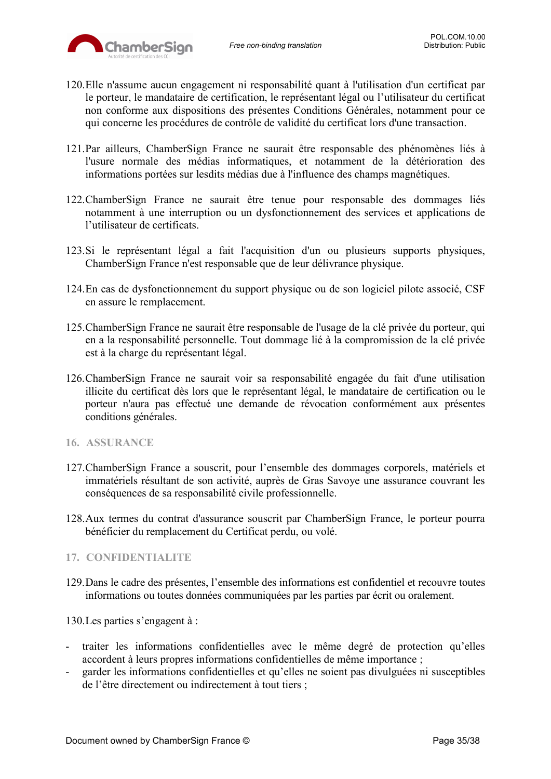

- 120.Elle n'assume aucun engagement ni responsabilité quant à l'utilisation d'un certificat par le porteur, le mandataire de certification, le représentant légal ou l'utilisateur du certificat non conforme aux dispositions des présentes Conditions Générales, notamment pour ce qui concerne les procédures de contrôle de validité du certificat lors d'une transaction.
- 121.Par ailleurs, ChamberSign France ne saurait être responsable des phénomènes liés à l'usure normale des médias informatiques, et notamment de la détérioration des informations portées sur lesdits médias due à l'influence des champs magnétiques.
- 122.ChamberSign France ne saurait être tenue pour responsable des dommages liés notamment à une interruption ou un dysfonctionnement des services et applications de l'utilisateur de certificats.
- 123.Si le représentant légal a fait l'acquisition d'un ou plusieurs supports physiques, ChamberSign France n'est responsable que de leur délivrance physique.
- 124.En cas de dysfonctionnement du support physique ou de son logiciel pilote associé, CSF en assure le remplacement.
- 125.ChamberSign France ne saurait être responsable de l'usage de la clé privée du porteur, qui en a la responsabilité personnelle. Tout dommage lié à la compromission de la clé privée est à la charge du représentant légal.
- 126.ChamberSign France ne saurait voir sa responsabilité engagée du fait d'une utilisation illicite du certificat dès lors que le représentant légal, le mandataire de certification ou le porteur n'aura pas effectué une demande de révocation conformément aux présentes conditions générales.
- <span id="page-34-0"></span>**16. ASSURANCE**
- 127.ChamberSign France a souscrit, pour l'ensemble des dommages corporels, matériels et immatériels résultant de son activité, auprès de Gras Savoye une assurance couvrant les conséquences de sa responsabilité civile professionnelle.
- 128.Aux termes du contrat d'assurance souscrit par ChamberSign France, le porteur pourra bénéficier du remplacement du Certificat perdu, ou volé.

### <span id="page-34-1"></span>**17. CONFIDENTIALITE**

129.Dans le cadre des présentes, l'ensemble des informations est confidentiel et recouvre toutes informations ou toutes données communiquées par les parties par écrit ou oralement.

130.Les parties s'engagent à :

- traiter les informations confidentielles avec le même degré de protection qu'elles accordent à leurs propres informations confidentielles de même importance ;
- garder les informations confidentielles et qu'elles ne soient pas divulguées ni susceptibles de l'être directement ou indirectement à tout tiers ;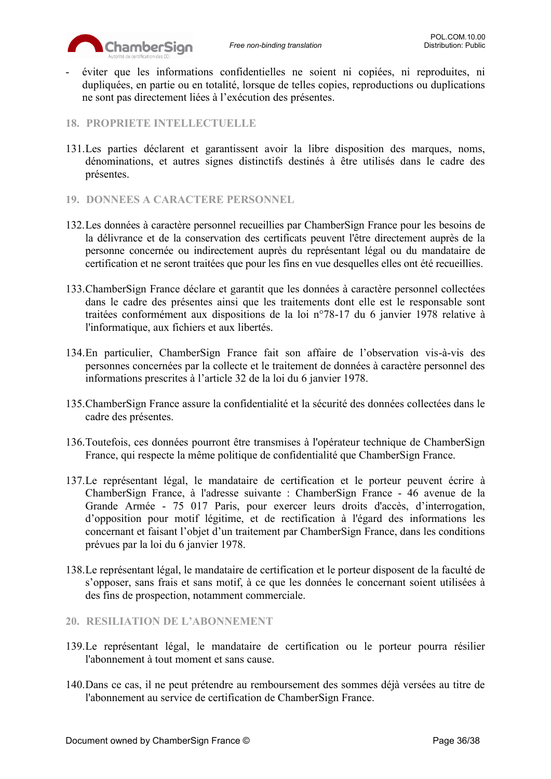

- éviter que les informations confidentielles ne soient ni copiées, ni reproduites, ni dupliquées, en partie ou en totalité, lorsque de telles copies, reproductions ou duplications ne sont pas directement liées à l'exécution des présentes.
- <span id="page-35-0"></span>**18. PROPRIETE INTELLECTUELLE**
- 131.Les parties déclarent et garantissent avoir la libre disposition des marques, noms, dénominations, et autres signes distinctifs destinés à être utilisés dans le cadre des présentes.
- <span id="page-35-1"></span>**19. DONNEES A CARACTERE PERSONNEL**
- 132.Les données à caractère personnel recueillies par ChamberSign France pour les besoins de la délivrance et de la conservation des certificats peuvent l'être directement auprès de la personne concernée ou indirectement auprès du représentant légal ou du mandataire de certification et ne seront traitées que pour les fins en vue desquelles elles ont été recueillies.
- 133.ChamberSign France déclare et garantit que les données à caractère personnel collectées dans le cadre des présentes ainsi que les traitements dont elle est le responsable sont traitées conformément aux dispositions de la loi n°78-17 du 6 janvier 1978 relative à l'informatique, aux fichiers et aux libertés.
- 134.En particulier, ChamberSign France fait son affaire de l'observation vis-à-vis des personnes concernées par la collecte et le traitement de données à caractère personnel des informations prescrites à l'article 32 de la loi du 6 janvier 1978.
- 135.ChamberSign France assure la confidentialité et la sécurité des données collectées dans le cadre des présentes.
- 136.Toutefois, ces données pourront être transmises à l'opérateur technique de ChamberSign France, qui respecte la même politique de confidentialité que ChamberSign France.
- 137.Le représentant légal, le mandataire de certification et le porteur peuvent écrire à ChamberSign France, à l'adresse suivante : ChamberSign France - 46 avenue de la Grande Armée - 75 017 Paris, pour exercer leurs droits d'accès, d'interrogation, d'opposition pour motif légitime, et de rectification à l'égard des informations les concernant et faisant l'objet d'un traitement par ChamberSign France, dans les conditions prévues par la loi du 6 janvier 1978.
- 138.Le représentant légal, le mandataire de certification et le porteur disposent de la faculté de s'opposer, sans frais et sans motif, à ce que les données le concernant soient utilisées à des fins de prospection, notamment commerciale.
- <span id="page-35-2"></span>**20. RESILIATION DE L'ABONNEMENT**
- 139.Le représentant légal, le mandataire de certification ou le porteur pourra résilier l'abonnement à tout moment et sans cause.
- 140.Dans ce cas, il ne peut prétendre au remboursement des sommes déjà versées au titre de l'abonnement au service de certification de ChamberSign France.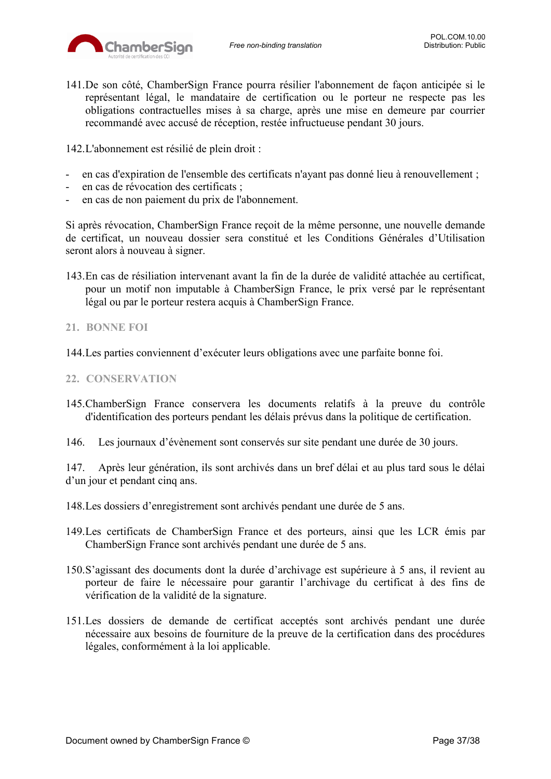

141.De son côté, ChamberSign France pourra résilier l'abonnement de façon anticipée si le représentant légal, le mandataire de certification ou le porteur ne respecte pas les obligations contractuelles mises à sa charge, après une mise en demeure par courrier recommandé avec accusé de réception, restée infructueuse pendant 30 jours.

142.L'abonnement est résilié de plein droit :

- en cas d'expiration de l'ensemble des certificats n'ayant pas donné lieu à renouvellement ;
- en cas de révocation des certificats ;
- en cas de non paiement du prix de l'abonnement.

Si après révocation, ChamberSign France reçoit de la même personne, une nouvelle demande de certificat, un nouveau dossier sera constitué et les Conditions Générales d'Utilisation seront alors à nouveau à signer.

143.En cas de résiliation intervenant avant la fin de la durée de validité attachée au certificat, pour un motif non imputable à ChamberSign France, le prix versé par le représentant légal ou par le porteur restera acquis à ChamberSign France.

## <span id="page-36-0"></span>**21. BONNE FOI**

144.Les parties conviennent d'exécuter leurs obligations avec une parfaite bonne foi.

## <span id="page-36-1"></span>**22. CONSERVATION**

145.ChamberSign France conservera les documents relatifs à la preuve du contrôle d'identification des porteurs pendant les délais prévus dans la politique de certification.

146. Les journaux d'évènement sont conservés sur site pendant une durée de 30 jours.

147. Après leur génération, ils sont archivés dans un bref délai et au plus tard sous le délai d'un jour et pendant cinq ans.

148.Les dossiers d'enregistrement sont archivés pendant une durée de 5 ans.

- 149.Les certificats de ChamberSign France et des porteurs, ainsi que les LCR émis par ChamberSign France sont archivés pendant une durée de 5 ans.
- 150.S'agissant des documents dont la durée d'archivage est supérieure à 5 ans, il revient au porteur de faire le nécessaire pour garantir l'archivage du certificat à des fins de vérification de la validité de la signature.
- 151.Les dossiers de demande de certificat acceptés sont archivés pendant une durée nécessaire aux besoins de fourniture de la preuve de la certification dans des procédures légales, conformément à la loi applicable.